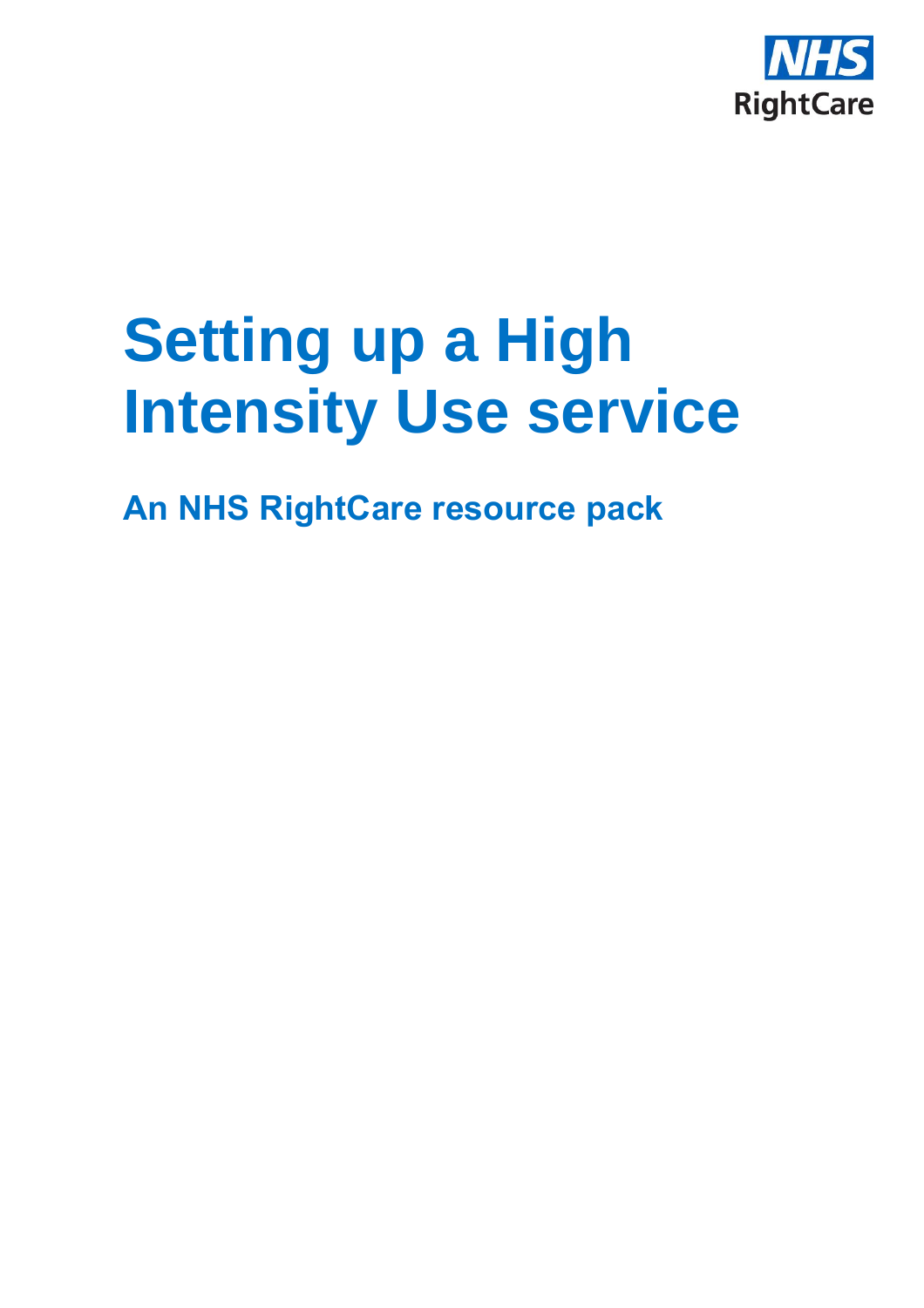

# **Setting up a High Intensity Use service**

**An NHS RightCare resource pack**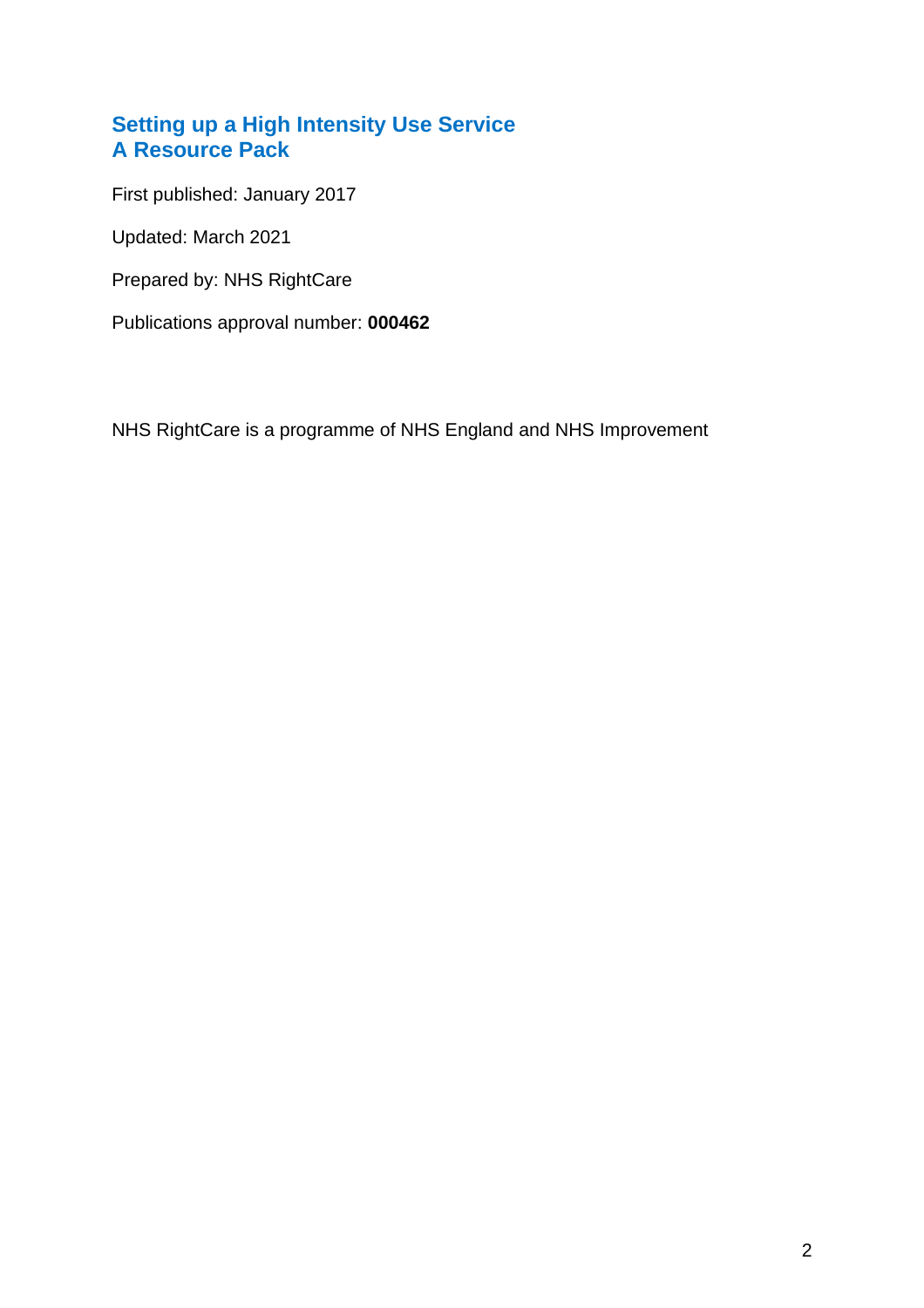## **Setting up a High Intensity Use Service A Resource Pack**

First published: January 2017

Updated: March 2021

Prepared by: NHS RightCare

Publications approval number: **000462**

NHS RightCare is a programme of NHS England and NHS Improvement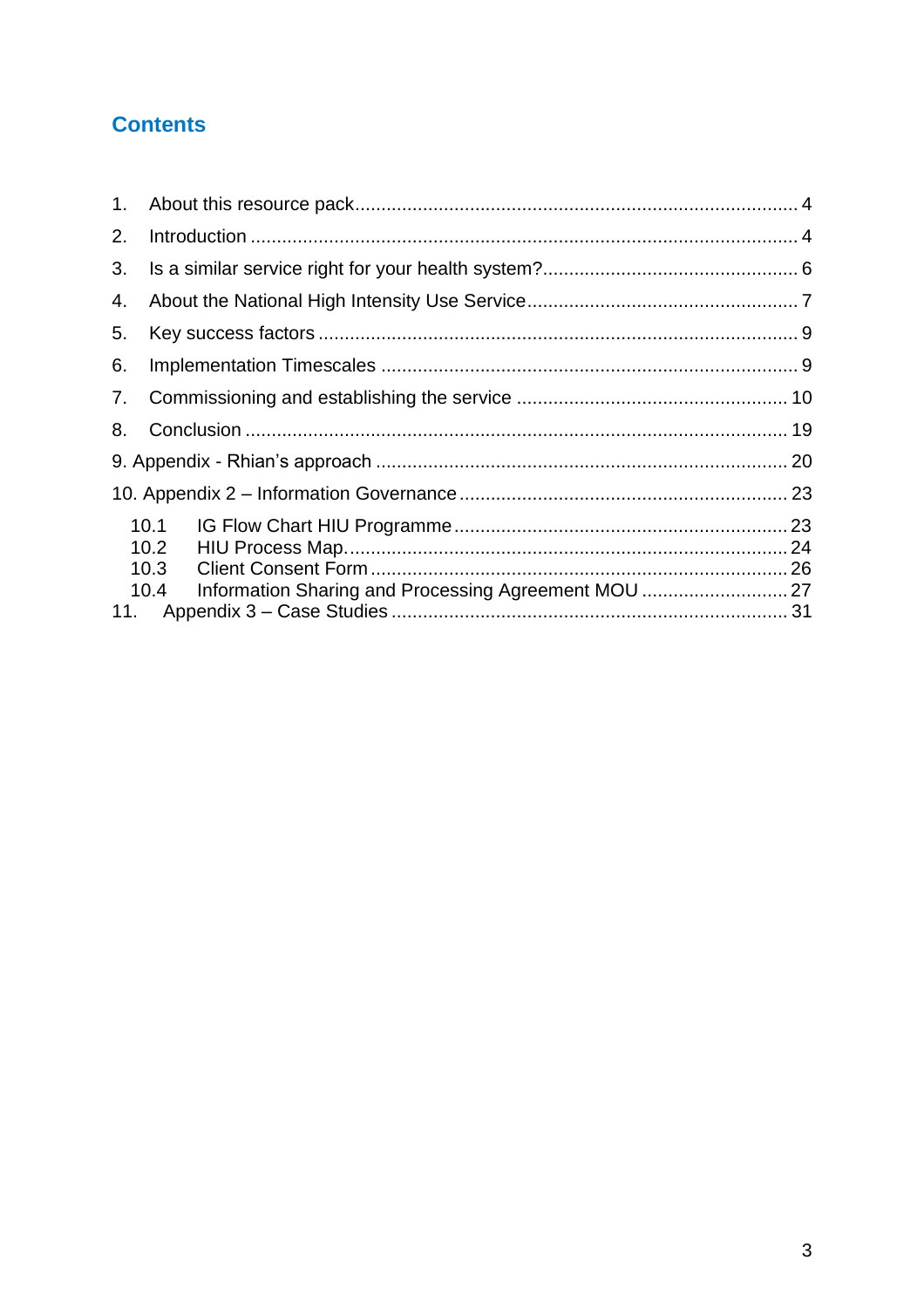## **Contents**

| 1.  |                                                              |  |
|-----|--------------------------------------------------------------|--|
| 2.  |                                                              |  |
| 3.  |                                                              |  |
| 4.  |                                                              |  |
| 5.  |                                                              |  |
| 6.  |                                                              |  |
| 7.  |                                                              |  |
| 8.  |                                                              |  |
|     |                                                              |  |
|     |                                                              |  |
|     | 10.1                                                         |  |
|     | 10.2                                                         |  |
|     | 10.3                                                         |  |
|     | Information Sharing and Processing Agreement MOU  27<br>10.4 |  |
| 11. |                                                              |  |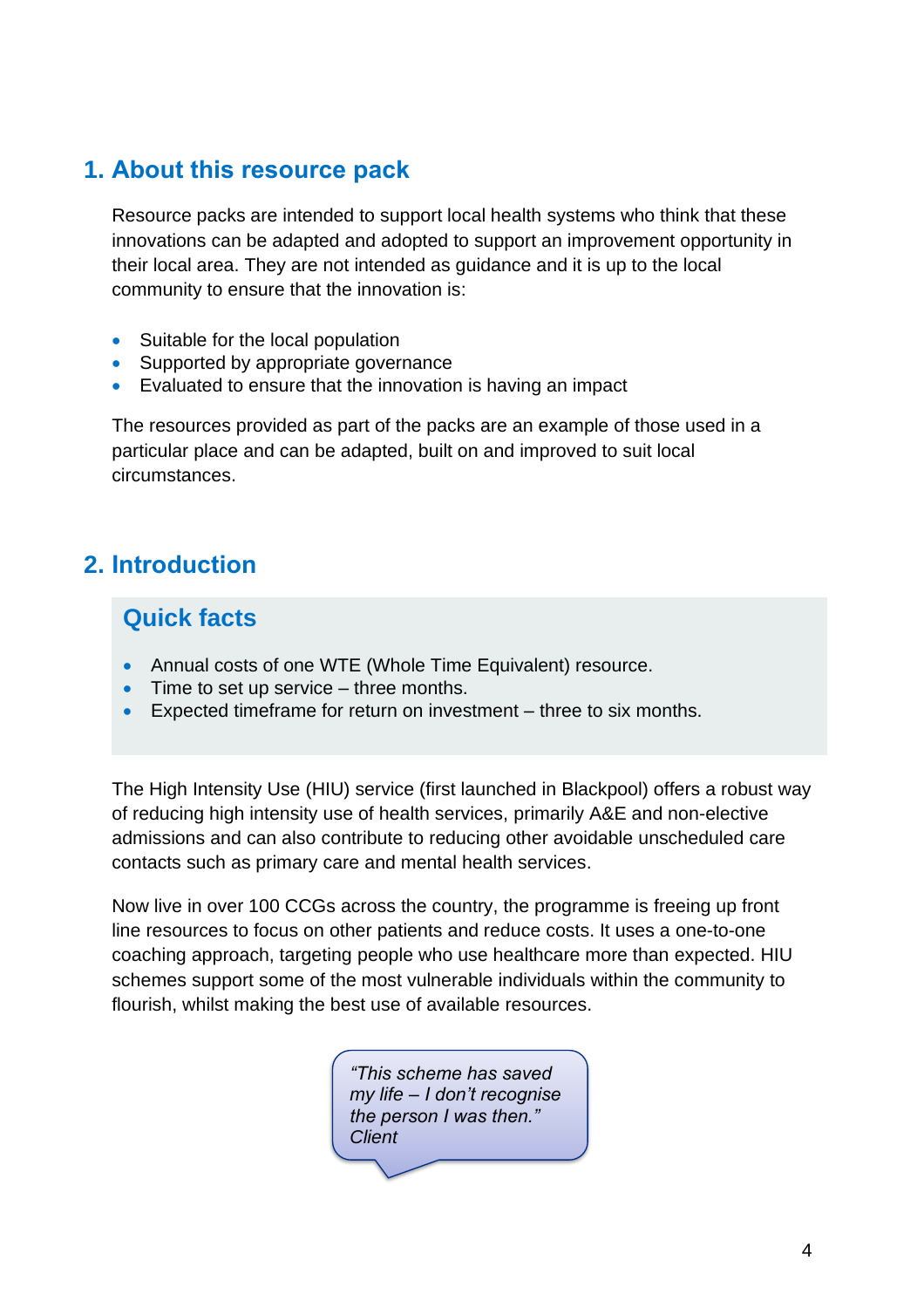## <span id="page-3-0"></span>**1. About this resource pack**

Resource packs are intended to support local health systems who think that these innovations can be adapted and adopted to support an improvement opportunity in their local area. They are not intended as guidance and it is up to the local community to ensure that the innovation is:

- Suitable for the local population
- Supported by appropriate governance
- Evaluated to ensure that the innovation is having an impact

The resources provided as part of the packs are an example of those used in a particular place and can be adapted, built on and improved to suit local circumstances.

## <span id="page-3-1"></span>**2. Introduction**

## **Quick facts**

- Annual costs of one WTE (Whole Time Equivalent) resource.
- Time to set up service three months.
- Expected timeframe for return on investment three to six months.

The High Intensity Use (HIU) service (first launched in Blackpool) offers a robust way of reducing high intensity use of health services, primarily A&E and non-elective admissions and can also contribute to reducing other avoidable unscheduled care contacts such as primary care and mental health services.

Now live in over 100 CCGs across the country, the programme is freeing up front line resources to focus on other patients and reduce costs. It uses a one-to-one coaching approach, targeting people who use healthcare more than expected. HIU schemes support some of the most vulnerable individuals within the community to flourish, whilst making the best use of available resources.

> *"This scheme has saved my life – I don't recognise the person I was then." Client*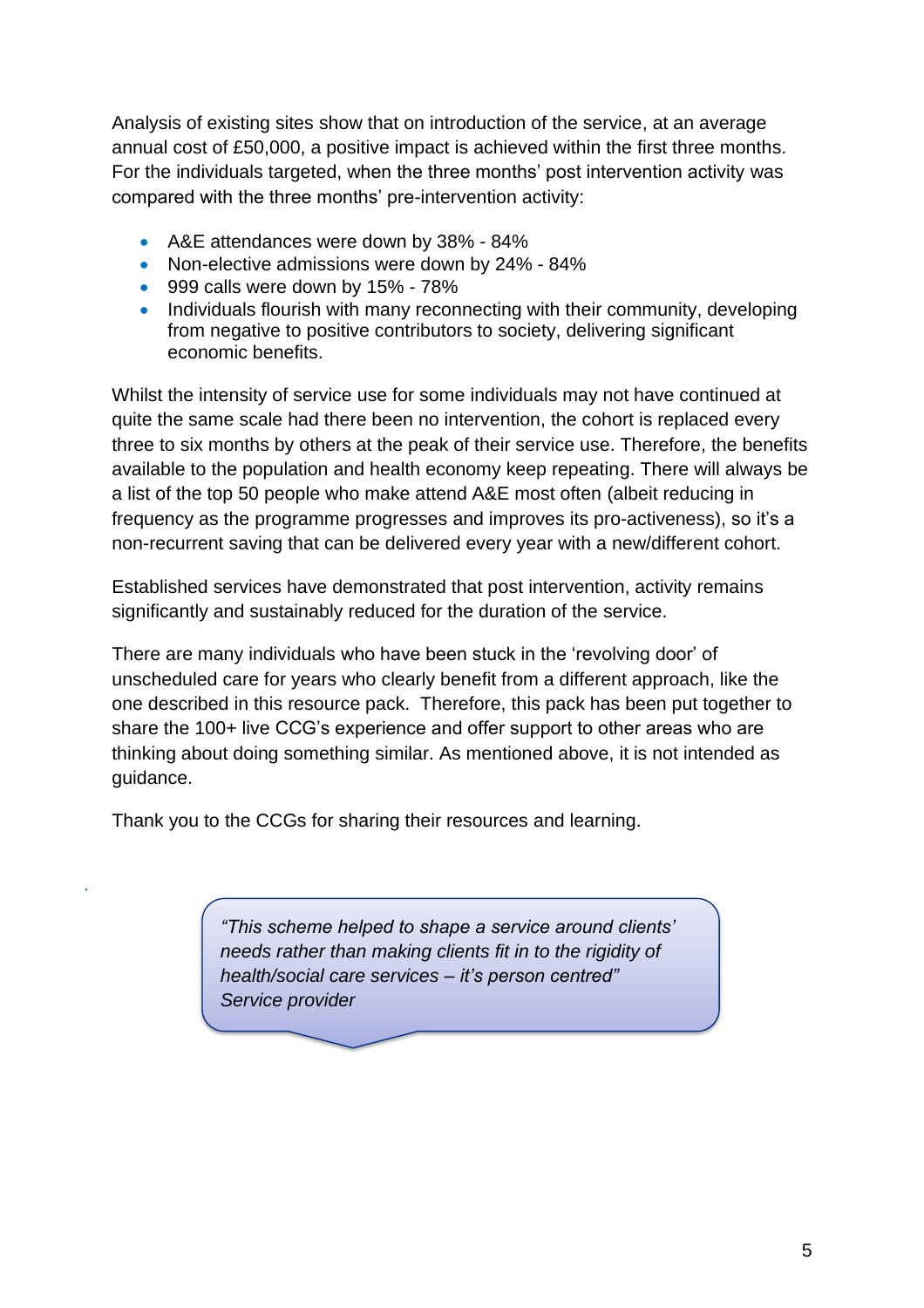Analysis of existing sites show that on introduction of the service, at an average annual cost of £50,000, a positive impact is achieved within the first three months. For the individuals targeted, when the three months' post intervention activity was compared with the three months' pre-intervention activity:

- A&E attendances were down by 38% 84%
- Non-elective admissions were down by 24% 84%
- 999 calls were down by 15% 78%
- Individuals flourish with many reconnecting with their community, developing from negative to positive contributors to society, delivering significant economic benefits.

Whilst the intensity of service use for some individuals may not have continued at quite the same scale had there been no intervention, the cohort is replaced every three to six months by others at the peak of their service use. Therefore, the benefits available to the population and health economy keep repeating. There will always be a list of the top 50 people who make attend A&E most often (albeit reducing in frequency as the programme progresses and improves its pro-activeness), so it's a non-recurrent saving that can be delivered every year with a new/different cohort.

Established services have demonstrated that post intervention, activity remains significantly and sustainably reduced for the duration of the service.

There are many individuals who have been stuck in the 'revolving door' of unscheduled care for years who clearly benefit from a different approach, like the one described in this resource pack. Therefore, this pack has been put together to share the 100+ live CCG's experience and offer support to other areas who are thinking about doing something similar. As mentioned above, it is not intended as guidance.

Thank you to the CCGs for sharing their resources and learning.

*·*

*"This scheme helped to shape a service around clients' needs rather than making clients fit in to the rigidity of health/social care services – it's person centred" Service provider*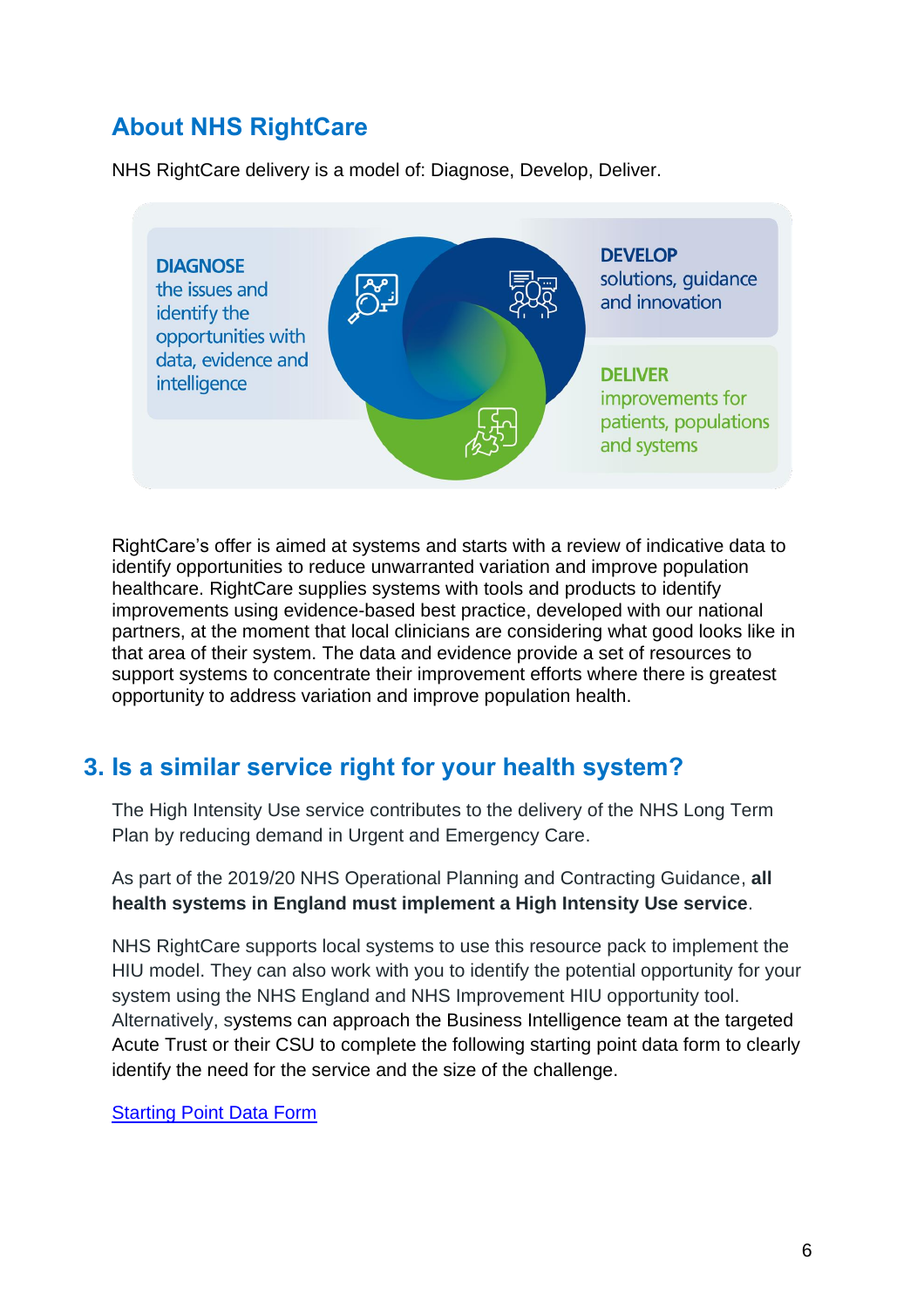## **About NHS RightCare**

NHS RightCare delivery is a model of: Diagnose, Develop, Deliver.



RightCare's offer is aimed at systems and starts with a review of indicative data to identify opportunities to reduce unwarranted variation and improve population healthcare. RightCare supplies systems with tools and products to identify improvements using evidence-based best practice, developed with our national partners, at the moment that local clinicians are considering what good looks like in that area of their system. The data and evidence provide a set of resources to support systems to concentrate their improvement efforts where there is greatest opportunity to address variation and improve population health.

## <span id="page-5-0"></span>**3. Is a similar service right for your health system?**

The High Intensity Use service contributes to the delivery of the NHS Long Term Plan by reducing demand in Urgent and Emergency Care.

As part of the 2019/20 NHS Operational Planning and Contracting Guidance, **all health systems in England must implement a High Intensity Use service**.

NHS RightCare supports local systems to use this resource pack to implement the HIU model. They can also work with you to identify the potential opportunity for your system using the NHS England and NHS Improvement HIU opportunity tool. Alternatively, systems can approach the Business Intelligence team at the targeted Acute Trust or their CSU to complete the following starting point data form to clearly identify the need for the service and the size of the challenge.

[Starting Point Data Form](https://www.england.nhs.uk/publication/high-intensity-user-service-resource-pack-supporting-documents/)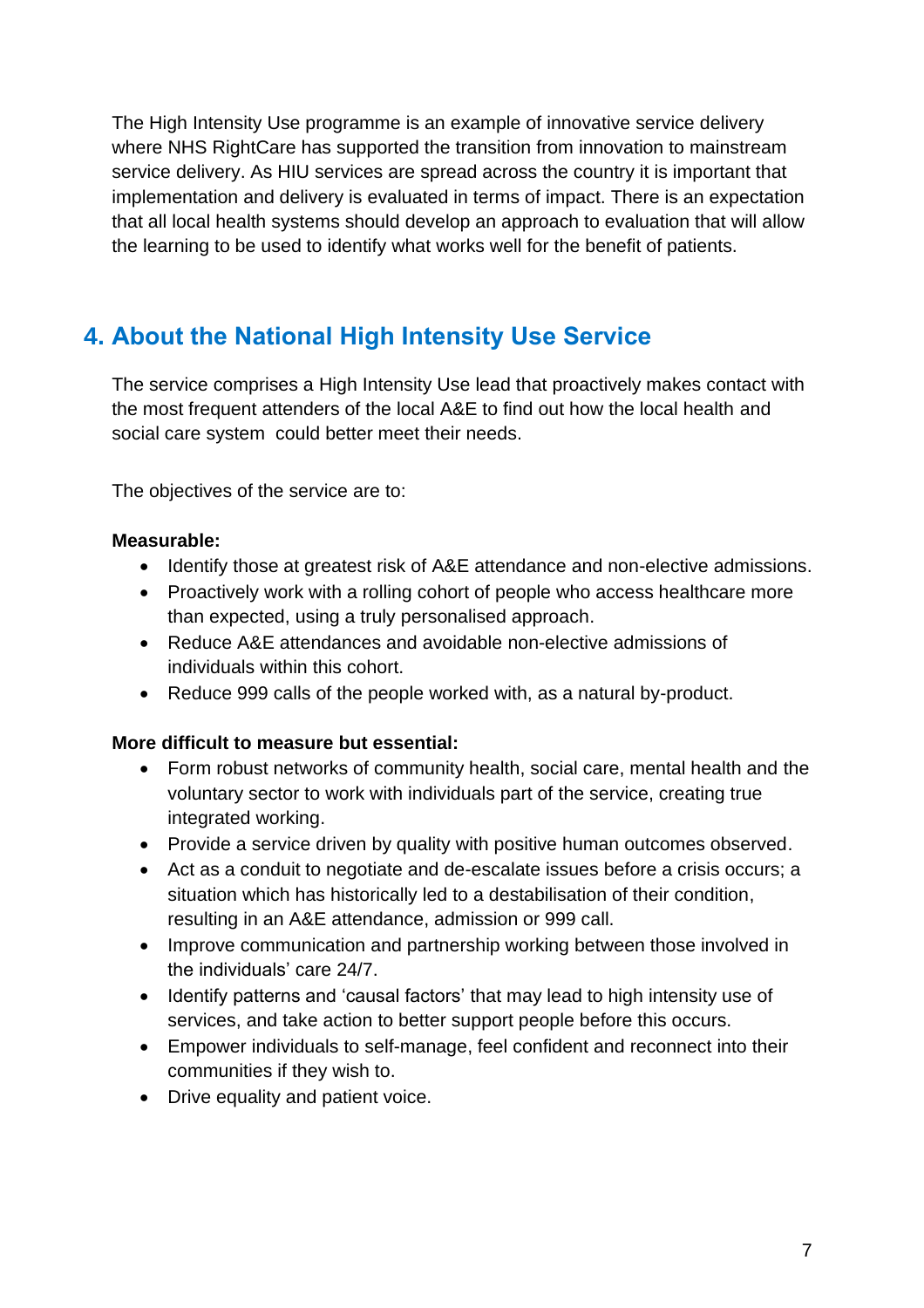The High Intensity Use programme is an example of innovative service delivery where NHS RightCare has supported the transition from innovation to mainstream service delivery. As HIU services are spread across the country it is important that implementation and delivery is evaluated in terms of impact. There is an expectation that all local health systems should develop an approach to evaluation that will allow the learning to be used to identify what works well for the benefit of patients.

## <span id="page-6-0"></span>**4. About the National High Intensity Use Service**

The service comprises a High Intensity Use lead that proactively makes contact with the most frequent attenders of the local A&E to find out how the local health and social care system could better meet their needs.

The objectives of the service are to:

## **Measurable:**

- Identify those at greatest risk of A&E attendance and non-elective admissions.
- Proactively work with a rolling cohort of people who access healthcare more than expected, using a truly personalised approach.
- Reduce A&E attendances and avoidable non-elective admissions of individuals within this cohort.
- Reduce 999 calls of the people worked with, as a natural by-product.

## **More difficult to measure but essential:**

- Form robust networks of community health, social care, mental health and the voluntary sector to work with individuals part of the service, creating true integrated working.
- Provide a service driven by quality with positive human outcomes observed.
- Act as a conduit to negotiate and de-escalate issues before a crisis occurs; a situation which has historically led to a destabilisation of their condition, resulting in an A&E attendance, admission or 999 call.
- Improve communication and partnership working between those involved in the individuals' care 24/7.
- Identify patterns and 'causal factors' that may lead to high intensity use of services, and take action to better support people before this occurs.
- Empower individuals to self-manage, feel confident and reconnect into their communities if they wish to.
- Drive equality and patient voice.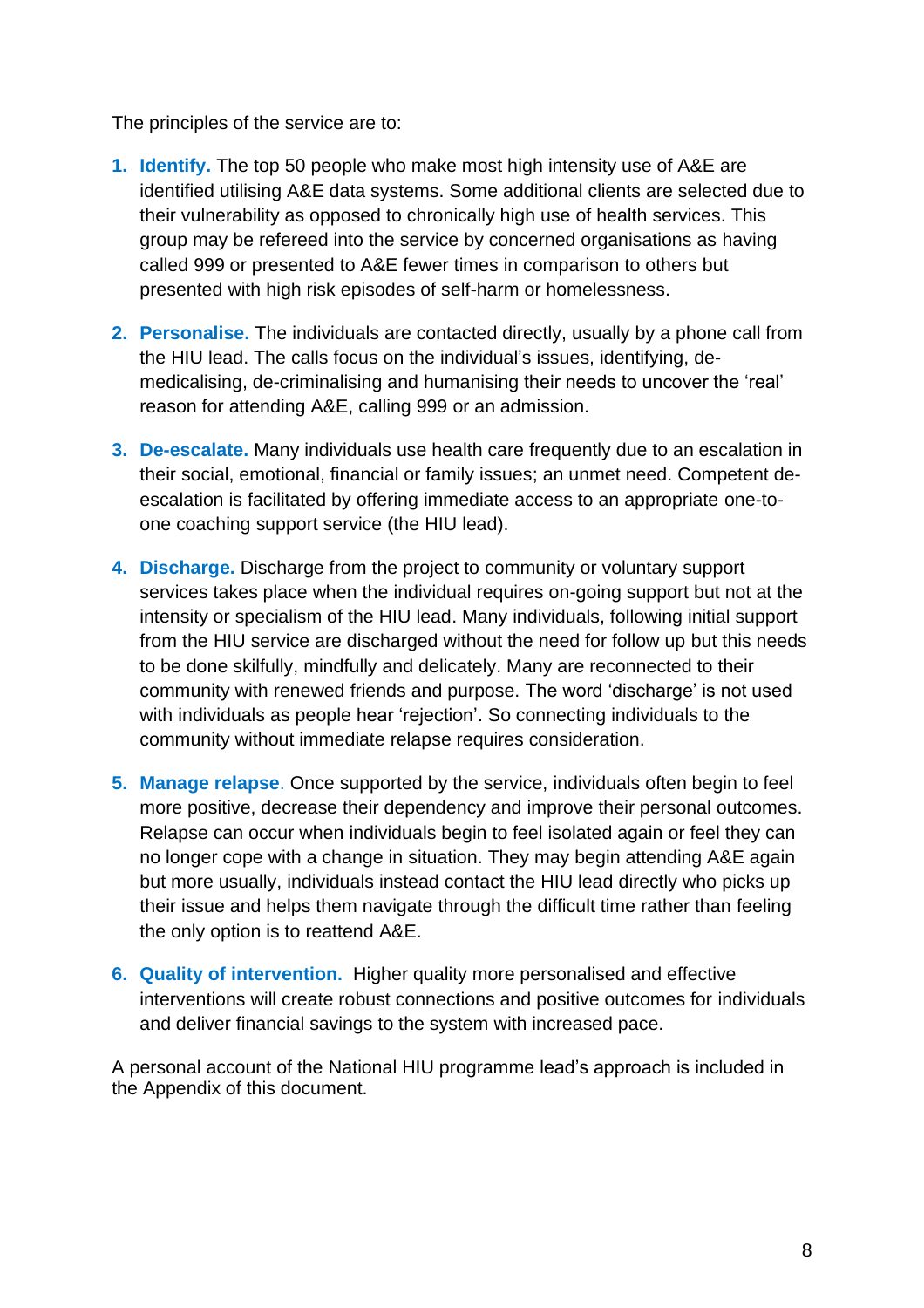The principles of the service are to:

- **1. Identify.** The top 50 people who make most high intensity use of A&E are identified utilising A&E data systems. Some additional clients are selected due to their vulnerability as opposed to chronically high use of health services. This group may be refereed into the service by concerned organisations as having called 999 or presented to A&E fewer times in comparison to others but presented with high risk episodes of self-harm or homelessness.
- **2. Personalise.** The individuals are contacted directly, usually by a phone call from the HIU lead. The calls focus on the individual's issues, identifying, demedicalising, de-criminalising and humanising their needs to uncover the 'real' reason for attending A&E, calling 999 or an admission.
- **3. De-escalate.** Many individuals use health care frequently due to an escalation in their social, emotional, financial or family issues; an unmet need. Competent deescalation is facilitated by offering immediate access to an appropriate one-toone coaching support service (the HIU lead).
- **4. Discharge.** Discharge from the project to community or voluntary support services takes place when the individual requires on-going support but not at the intensity or specialism of the HIU lead. Many individuals, following initial support from the HIU service are discharged without the need for follow up but this needs to be done skilfully, mindfully and delicately. Many are reconnected to their community with renewed friends and purpose. The word 'discharge' is not used with individuals as people hear 'rejection'. So connecting individuals to the community without immediate relapse requires consideration.
- **5. Manage relapse**. Once supported by the service, individuals often begin to feel more positive, decrease their dependency and improve their personal outcomes. Relapse can occur when individuals begin to feel isolated again or feel they can no longer cope with a change in situation. They may begin attending A&E again but more usually, individuals instead contact the HIU lead directly who picks up their issue and helps them navigate through the difficult time rather than feeling the only option is to reattend A&E.
- **6. Quality of intervention.** Higher quality more personalised and effective interventions will create robust connections and positive outcomes for individuals and deliver financial savings to the system with increased pace.

A personal account of the National HIU programme lead's approach is included in the Appendix of this document.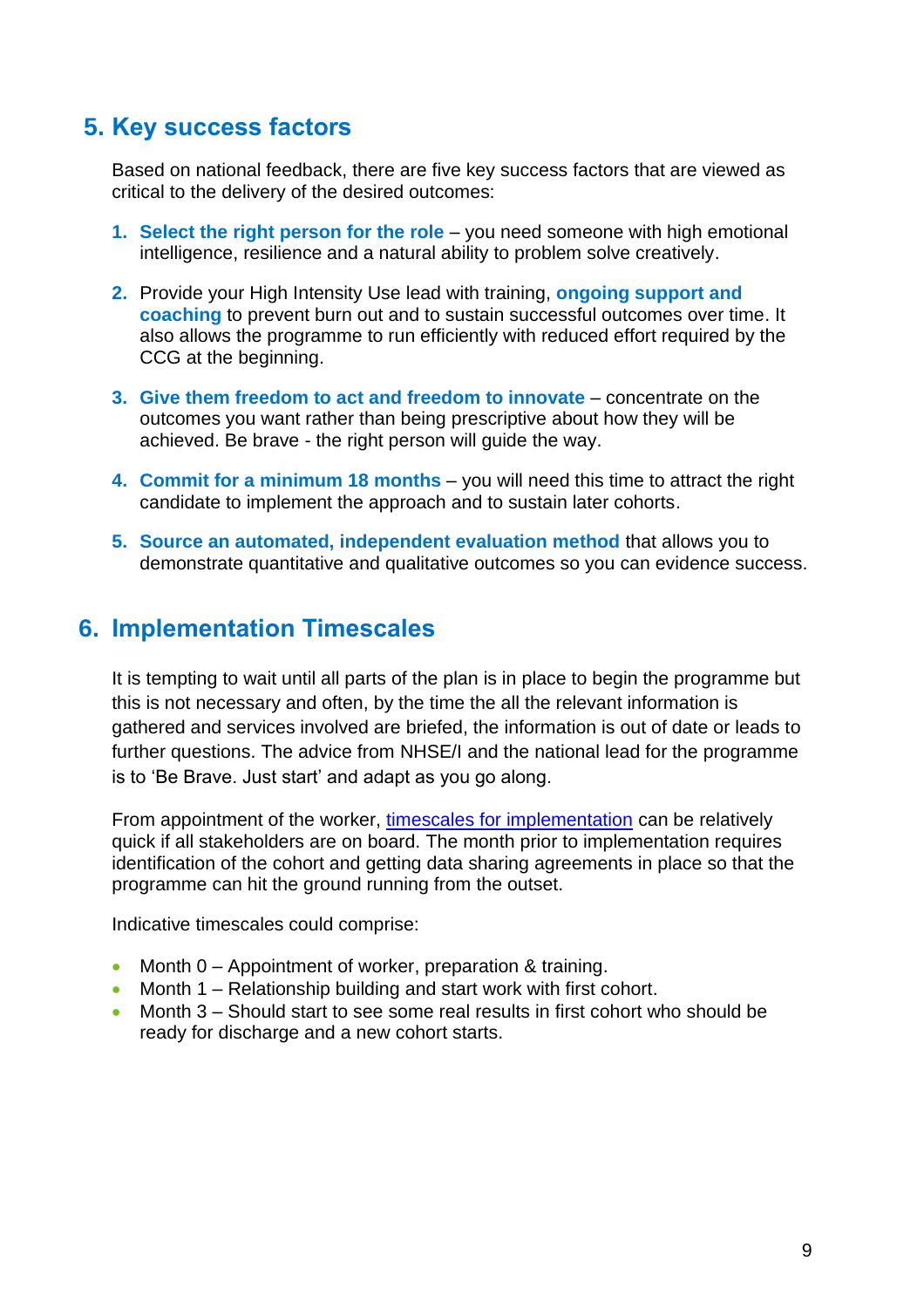## <span id="page-8-0"></span>**5. Key success factors**

Based on national feedback, there are five key success factors that are viewed as critical to the delivery of the desired outcomes:

- **1. Select the right person for the role** you need someone with high emotional intelligence, resilience and a natural ability to problem solve creatively.
- **2.** Provide your High Intensity Use lead with training, **ongoing support and coaching** to prevent burn out and to sustain successful outcomes over time. It also allows the programme to run efficiently with reduced effort required by the CCG at the beginning.
- **3. Give them freedom to act and freedom to innovate** concentrate on the outcomes you want rather than being prescriptive about how they will be achieved. Be brave - the right person will guide the way.
- **4. Commit for a minimum 18 months** you will need this time to attract the right candidate to implement the approach and to sustain later cohorts.
- **5. Source an automated, independent evaluation method** that allows you to demonstrate quantitative and qualitative outcomes so you can evidence success.

## <span id="page-8-1"></span>**6. Implementation Timescales**

It is tempting to wait until all parts of the plan is in place to begin the programme but this is not necessary and often, by the time the all the relevant information is gathered and services involved are briefed, the information is out of date or leads to further questions. The advice from NHSE/I and the national lead for the programme is to 'Be Brave. Just start' and adapt as you go along.

From appointment of the worker, [timescales for implementation](https://www.england.nhs.uk/publication/high-intensity-user-service-resource-pack-supporting-documents/) can be relatively quick if all stakeholders are on board. The month prior to implementation requires identification of the cohort and getting data sharing agreements in place so that the programme can hit the ground running from the outset.

Indicative timescales could comprise:

- Month 0 Appointment of worker, preparation & training.
- Month 1 Relationship building and start work with first cohort.
- Month 3 Should start to see some real results in first cohort who should be ready for discharge and a new cohort starts.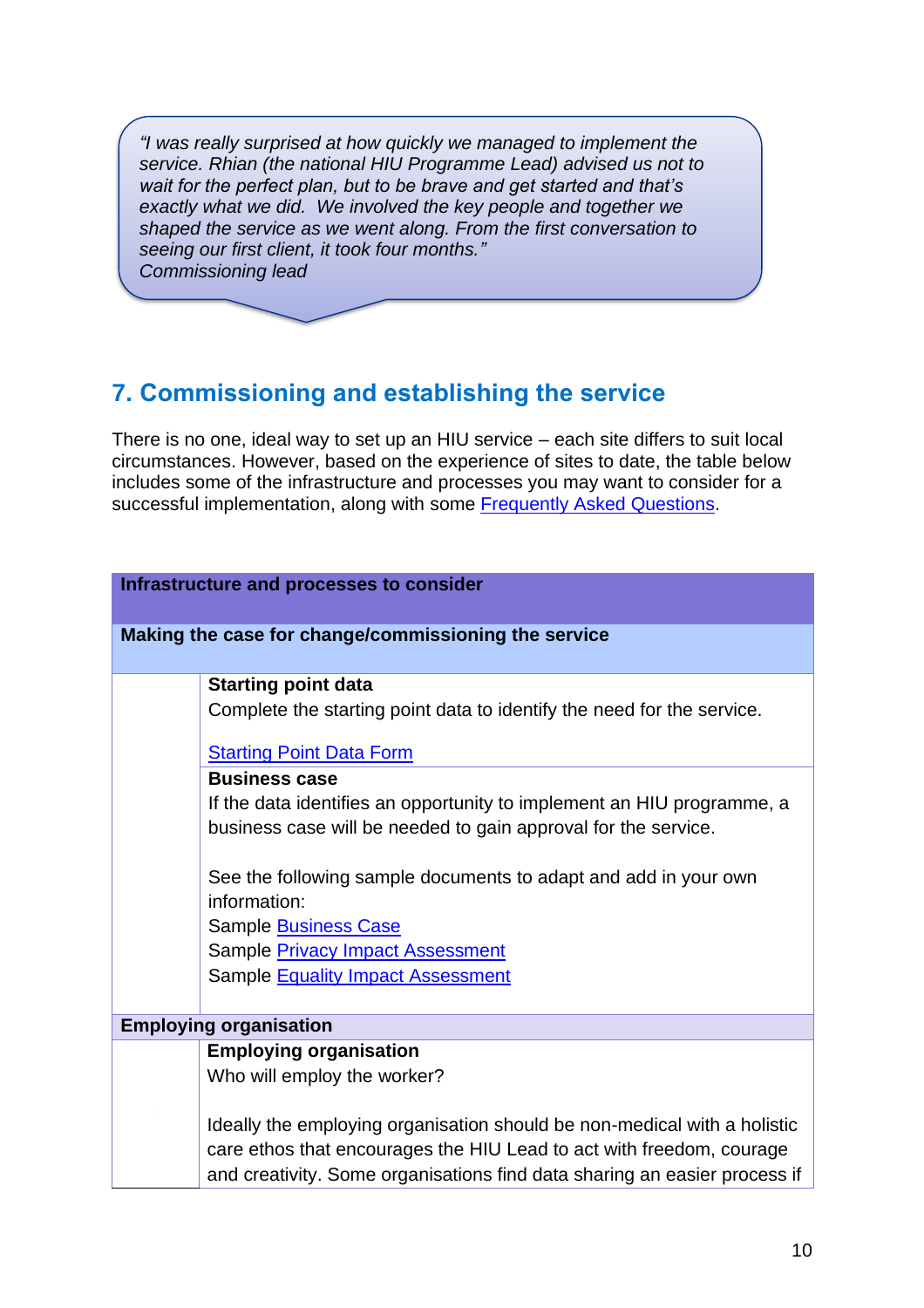*"I was really surprised at how quickly we managed to implement the service. Rhian (the national HIU Programme Lead) advised us not to wait for the perfect plan, but to be brave and get started and that's exactly what we did. We involved the key people and together we shaped the service as we went along. From the first conversation to seeing our first client, it took four months." Commissioning lead*

## <span id="page-9-0"></span>**7. Commissioning and establishing the service**

There is no one, ideal way to set up an HIU service – each site differs to suit local circumstances. However, based on the experience of sites to date, the table below includes some of the infrastructure and processes you may want to consider for a successful implementation, along with some [Frequently Asked Questions.](https://www.england.nhs.uk/publication/high-intensity-user-service-resource-pack-supporting-documents/)

| Infrastructure and processes to consider |                                                                           |  |  |
|------------------------------------------|---------------------------------------------------------------------------|--|--|
|                                          |                                                                           |  |  |
|                                          | Making the case for change/commissioning the service                      |  |  |
|                                          |                                                                           |  |  |
|                                          | <b>Starting point data</b>                                                |  |  |
|                                          | Complete the starting point data to identify the need for the service.    |  |  |
|                                          |                                                                           |  |  |
|                                          | <b>Starting Point Data Form</b>                                           |  |  |
|                                          | <b>Business case</b>                                                      |  |  |
|                                          | If the data identifies an opportunity to implement an HIU programme, a    |  |  |
|                                          | business case will be needed to gain approval for the service.            |  |  |
|                                          |                                                                           |  |  |
|                                          | See the following sample documents to adapt and add in your own           |  |  |
|                                          | information:                                                              |  |  |
|                                          | Sample Business Case                                                      |  |  |
|                                          | Sample <b>Privacy Impact Assessment</b>                                   |  |  |
|                                          | Sample <b>Equality Impact Assessment</b>                                  |  |  |
|                                          |                                                                           |  |  |
|                                          | <b>Employing organisation</b>                                             |  |  |
|                                          | <b>Employing organisation</b>                                             |  |  |
|                                          | Who will employ the worker?                                               |  |  |
|                                          |                                                                           |  |  |
|                                          | Ideally the employing organisation should be non-medical with a holistic  |  |  |
|                                          | care ethos that encourages the HIU Lead to act with freedom, courage      |  |  |
|                                          | and creativity. Some organisations find data sharing an easier process if |  |  |
|                                          |                                                                           |  |  |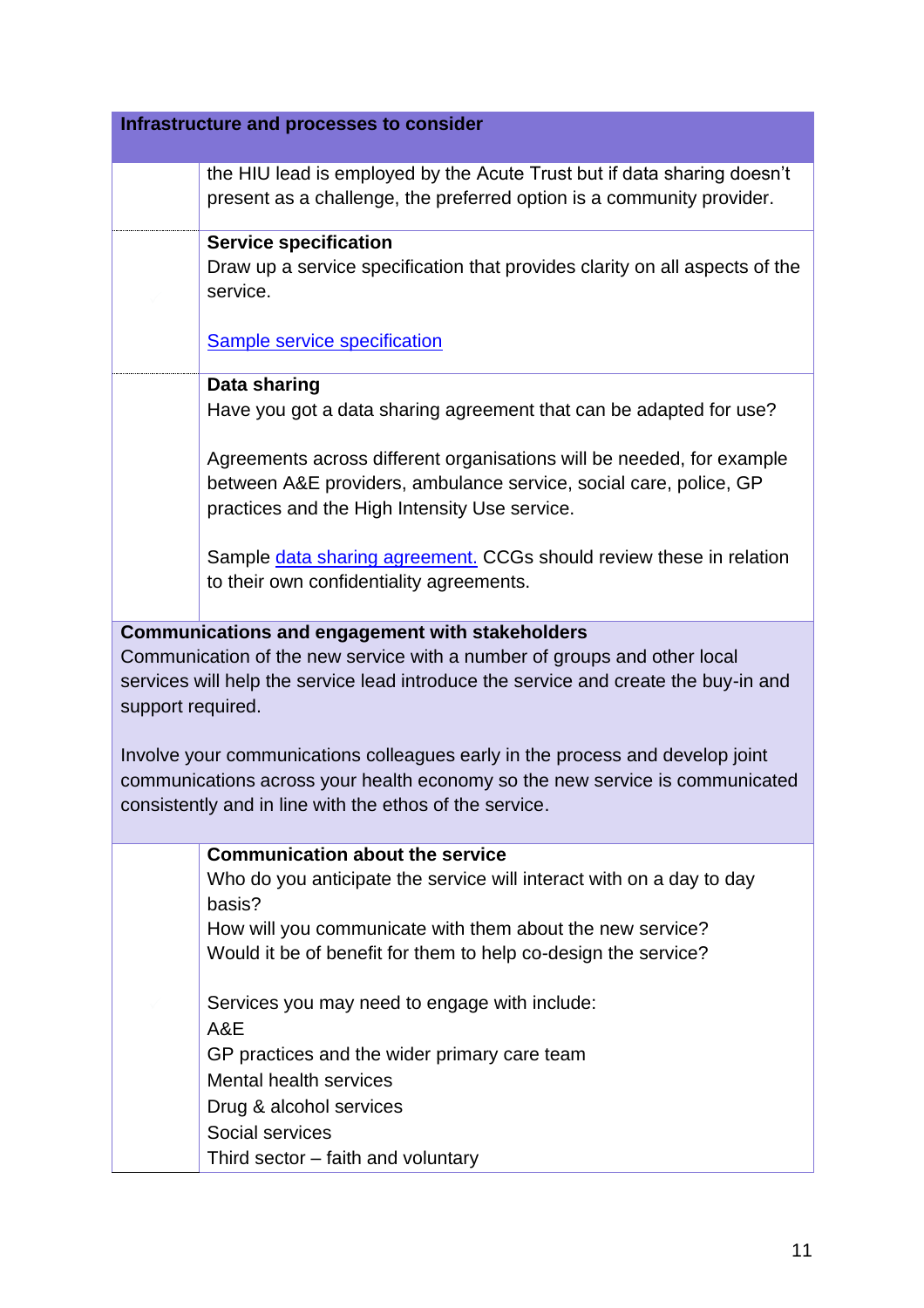| Infrastructure and processes to consider                                                                                                                                             |                                                                                                                                                                                                                          |  |
|--------------------------------------------------------------------------------------------------------------------------------------------------------------------------------------|--------------------------------------------------------------------------------------------------------------------------------------------------------------------------------------------------------------------------|--|
|                                                                                                                                                                                      |                                                                                                                                                                                                                          |  |
|                                                                                                                                                                                      | the HIU lead is employed by the Acute Trust but if data sharing doesn't<br>present as a challenge, the preferred option is a community provider.                                                                         |  |
|                                                                                                                                                                                      | <b>Service specification</b><br>Draw up a service specification that provides clarity on all aspects of the<br>service.                                                                                                  |  |
|                                                                                                                                                                                      | <b>Sample service specification</b>                                                                                                                                                                                      |  |
|                                                                                                                                                                                      | Data sharing                                                                                                                                                                                                             |  |
|                                                                                                                                                                                      | Have you got a data sharing agreement that can be adapted for use?                                                                                                                                                       |  |
|                                                                                                                                                                                      | Agreements across different organisations will be needed, for example<br>between A&E providers, ambulance service, social care, police, GP<br>practices and the High Intensity Use service.                              |  |
|                                                                                                                                                                                      | Sample data sharing agreement. CCGs should review these in relation<br>to their own confidentiality agreements.                                                                                                          |  |
|                                                                                                                                                                                      | <b>Communications and engagement with stakeholders</b>                                                                                                                                                                   |  |
| Communication of the new service with a number of groups and other local<br>services will help the service lead introduce the service and create the buy-in and<br>support required. |                                                                                                                                                                                                                          |  |
|                                                                                                                                                                                      | Involve your communications colleagues early in the process and develop joint<br>communications across your health economy so the new service is communicated<br>consistently and in line with the ethos of the service. |  |
|                                                                                                                                                                                      | <b>Communication about the service</b>                                                                                                                                                                                   |  |
|                                                                                                                                                                                      | Who do you anticipate the service will interact with on a day to day                                                                                                                                                     |  |
|                                                                                                                                                                                      | basis?                                                                                                                                                                                                                   |  |
|                                                                                                                                                                                      | How will you communicate with them about the new service?<br>Would it be of benefit for them to help co-design the service?                                                                                              |  |
|                                                                                                                                                                                      |                                                                                                                                                                                                                          |  |
|                                                                                                                                                                                      | Services you may need to engage with include:                                                                                                                                                                            |  |
|                                                                                                                                                                                      | A&E                                                                                                                                                                                                                      |  |
|                                                                                                                                                                                      | GP practices and the wider primary care team                                                                                                                                                                             |  |
|                                                                                                                                                                                      | <b>Mental health services</b>                                                                                                                                                                                            |  |
|                                                                                                                                                                                      | Drug & alcohol services                                                                                                                                                                                                  |  |
|                                                                                                                                                                                      | Social services                                                                                                                                                                                                          |  |
|                                                                                                                                                                                      | Third sector – faith and voluntary                                                                                                                                                                                       |  |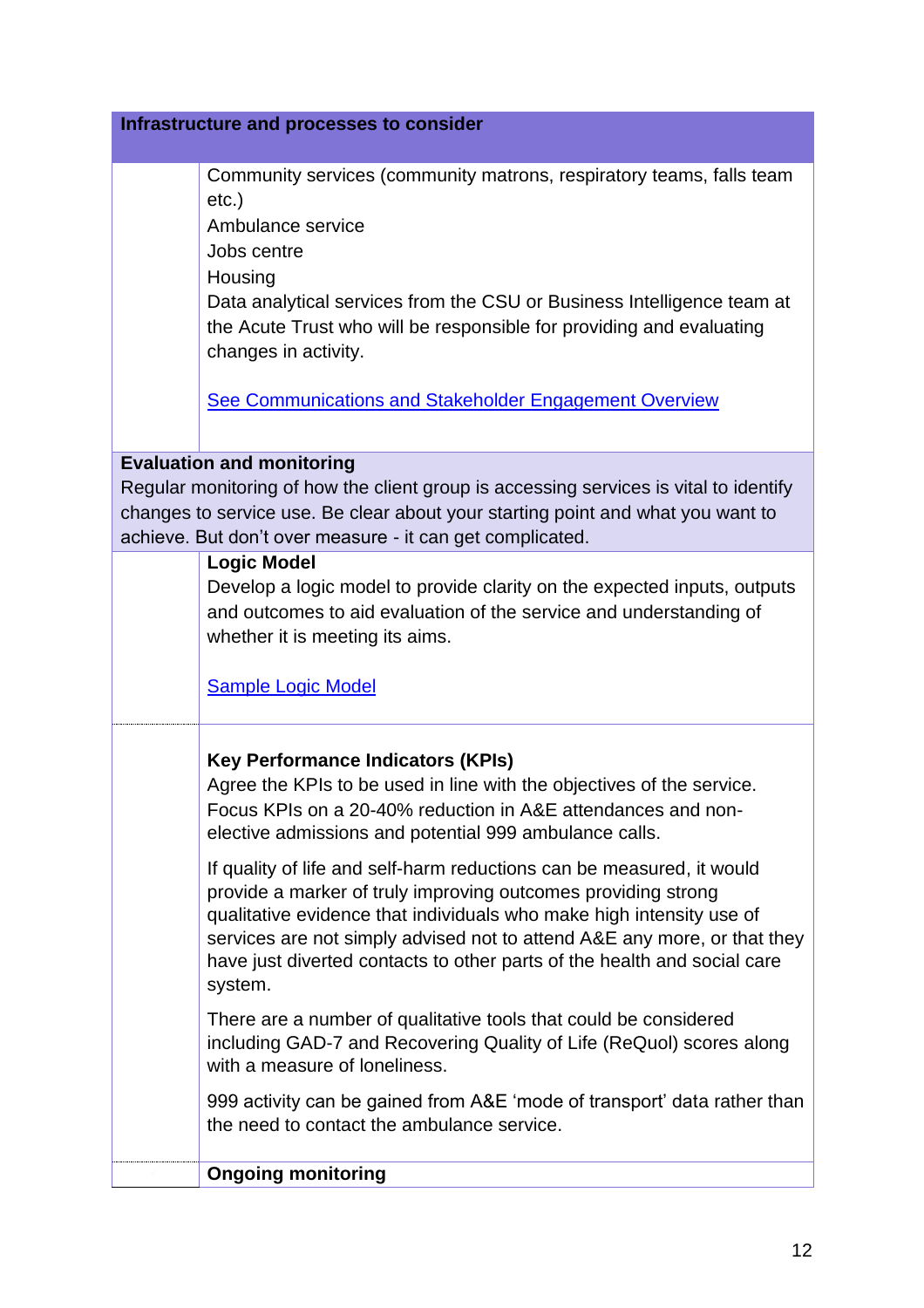| Infrastructure and processes to consider |                                                                                                                                                                                                                                                                                                                                                                                                                                                                                                                                                                                                                                                                                                                                                                                                                                                                                                                                         |  |
|------------------------------------------|-----------------------------------------------------------------------------------------------------------------------------------------------------------------------------------------------------------------------------------------------------------------------------------------------------------------------------------------------------------------------------------------------------------------------------------------------------------------------------------------------------------------------------------------------------------------------------------------------------------------------------------------------------------------------------------------------------------------------------------------------------------------------------------------------------------------------------------------------------------------------------------------------------------------------------------------|--|
|                                          | Community services (community matrons, respiratory teams, falls team<br>$etc.$ )<br>Ambulance service<br>Jobs centre<br>Housing<br>Data analytical services from the CSU or Business Intelligence team at<br>the Acute Trust who will be responsible for providing and evaluating<br>changes in activity.<br><b>See Communications and Stakeholder Engagement Overview</b>                                                                                                                                                                                                                                                                                                                                                                                                                                                                                                                                                              |  |
|                                          |                                                                                                                                                                                                                                                                                                                                                                                                                                                                                                                                                                                                                                                                                                                                                                                                                                                                                                                                         |  |
|                                          | <b>Evaluation and monitoring</b>                                                                                                                                                                                                                                                                                                                                                                                                                                                                                                                                                                                                                                                                                                                                                                                                                                                                                                        |  |
|                                          | Regular monitoring of how the client group is accessing services is vital to identify<br>changes to service use. Be clear about your starting point and what you want to<br>achieve. But don't over measure - it can get complicated.                                                                                                                                                                                                                                                                                                                                                                                                                                                                                                                                                                                                                                                                                                   |  |
|                                          | <b>Logic Model</b><br>Develop a logic model to provide clarity on the expected inputs, outputs<br>and outcomes to aid evaluation of the service and understanding of<br>whether it is meeting its aims.<br><b>Sample Logic Model</b>                                                                                                                                                                                                                                                                                                                                                                                                                                                                                                                                                                                                                                                                                                    |  |
|                                          | <b>Key Performance Indicators (KPIs)</b><br>Agree the KPIs to be used in line with the objectives of the service.<br>Focus KPIs on a 20-40% reduction in A&E attendances and non-<br>elective admissions and potential 999 ambulance calls.<br>If quality of life and self-harm reductions can be measured, it would<br>provide a marker of truly improving outcomes providing strong<br>qualitative evidence that individuals who make high intensity use of<br>services are not simply advised not to attend A&E any more, or that they<br>have just diverted contacts to other parts of the health and social care<br>system.<br>There are a number of qualitative tools that could be considered<br>including GAD-7 and Recovering Quality of Life (ReQuol) scores along<br>with a measure of loneliness.<br>999 activity can be gained from A&E 'mode of transport' data rather than<br>the need to contact the ambulance service. |  |
|                                          | <b>Ongoing monitoring</b>                                                                                                                                                                                                                                                                                                                                                                                                                                                                                                                                                                                                                                                                                                                                                                                                                                                                                                               |  |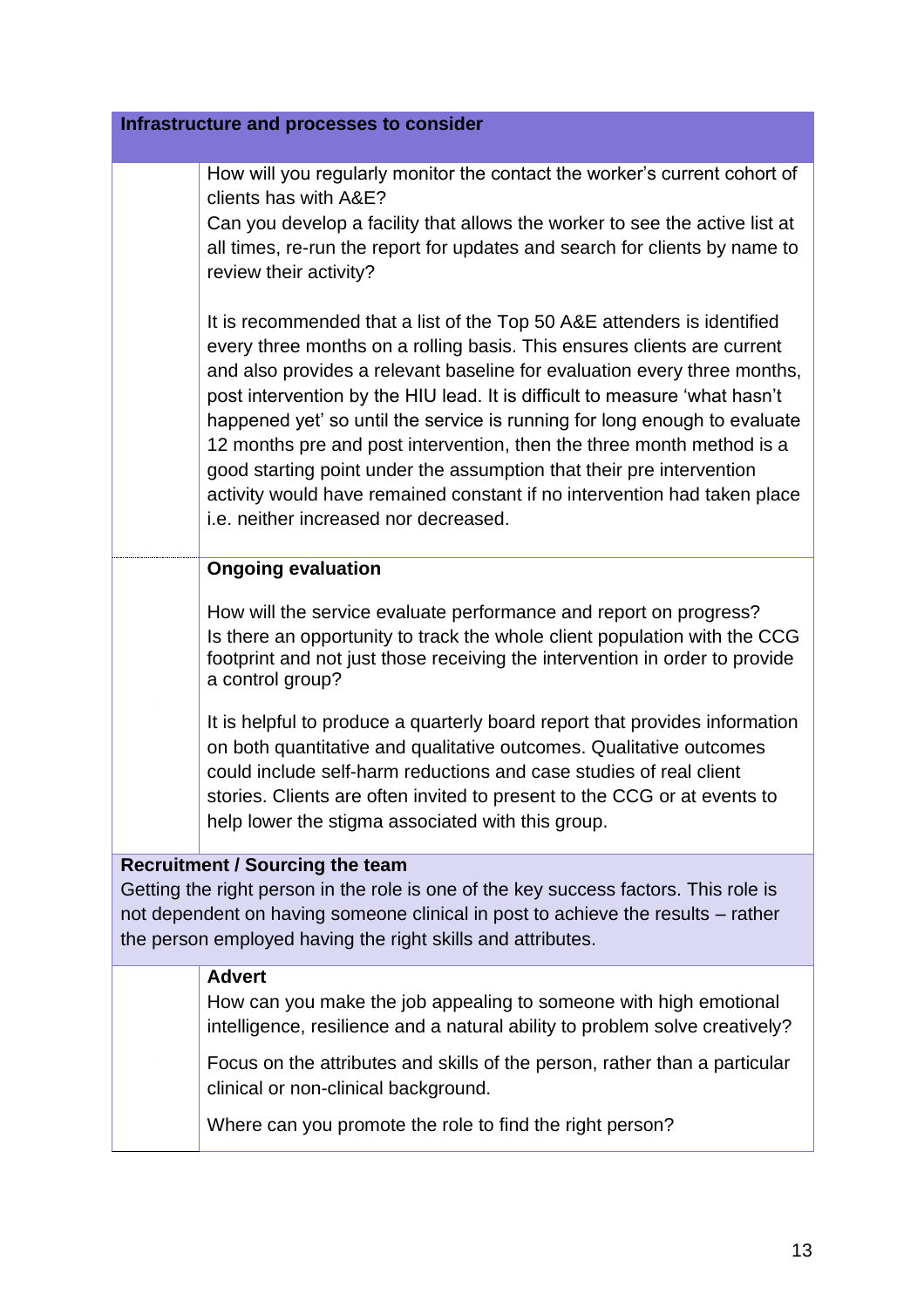How will you regularly monitor the contact the worker's current cohort of clients has with A&E?

Can you develop a facility that allows the worker to see the active list at all times, re-run the report for updates and search for clients by name to review their activity?

It is recommended that a list of the Top 50 A&E attenders is identified every three months on a rolling basis. This ensures clients are current and also provides a relevant baseline for evaluation every three months, post intervention by the HIU lead. It is difficult to measure 'what hasn't happened yet' so until the service is running for long enough to evaluate 12 months pre and post intervention, then the three month method is a good starting point under the assumption that their pre intervention activity would have remained constant if no intervention had taken place i.e. neither increased nor decreased.

## **Ongoing evaluation**

How will the service evaluate performance and report on progress? Is there an opportunity to track the whole client population with the CCG footprint and not just those receiving the intervention in order to provide a control group?

It is helpful to produce a quarterly board report that provides information on both quantitative and qualitative outcomes. Qualitative outcomes could include self-harm reductions and case studies of real client stories. Clients are often invited to present to the CCG or at events to help lower the stigma associated with this group.

## **Recruitment / Sourcing the team**

Getting the right person in the role is one of the key success factors. This role is not dependent on having someone clinical in post to achieve the results – rather the person employed having the right skills and attributes.

#### **Advert**

How can you make the job appealing to someone with high emotional intelligence, resilience and a natural ability to problem solve creatively?

Focus on the attributes and skills of the person, rather than a particular clinical or non-clinical background.

Where can you promote the role to find the right person?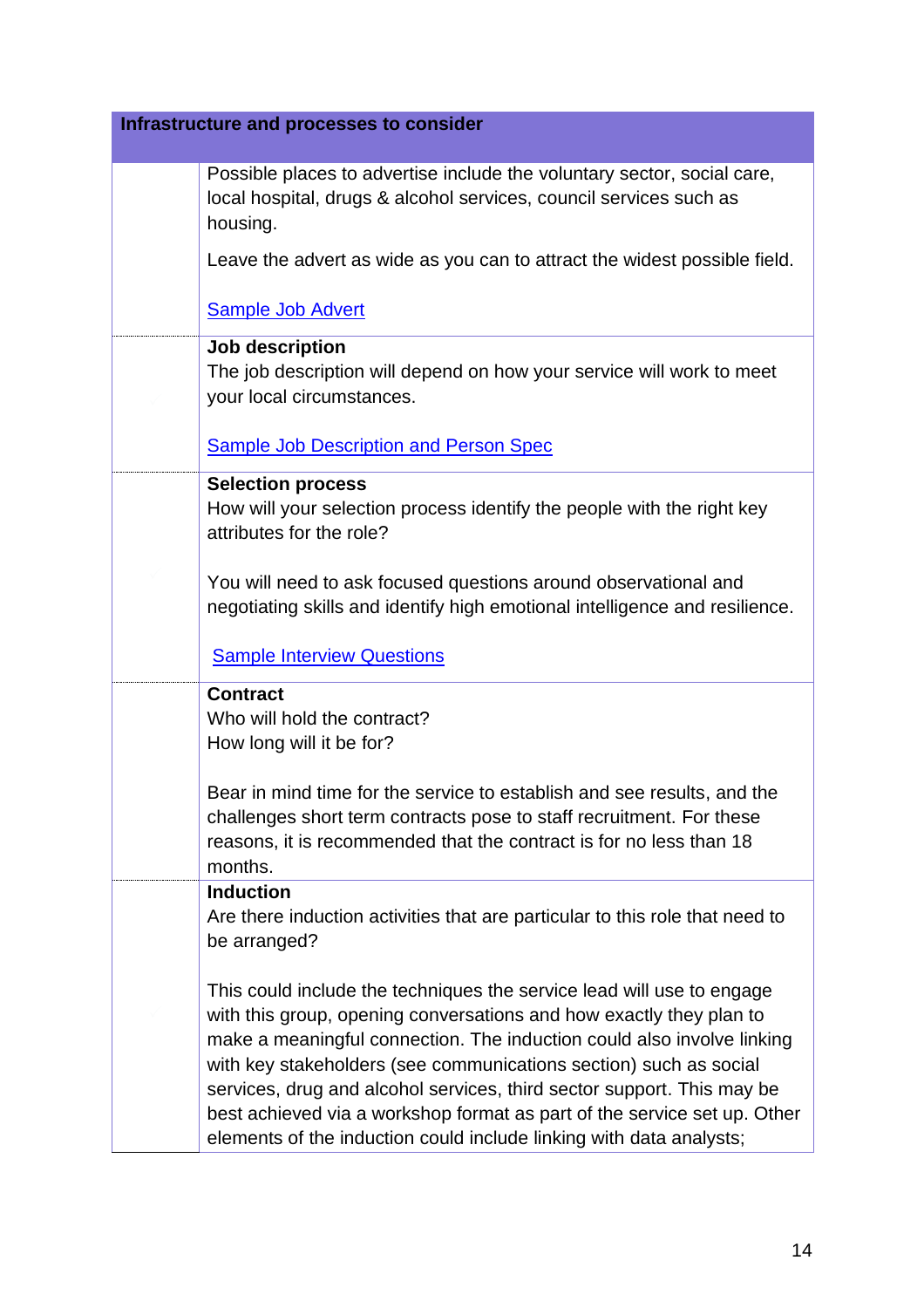| Infrastructure and processes to consider |                                                                                                                                                           |  |
|------------------------------------------|-----------------------------------------------------------------------------------------------------------------------------------------------------------|--|
|                                          |                                                                                                                                                           |  |
|                                          | Possible places to advertise include the voluntary sector, social care,<br>local hospital, drugs & alcohol services, council services such as<br>housing. |  |
|                                          | Leave the advert as wide as you can to attract the widest possible field.                                                                                 |  |
|                                          | <b>Sample Job Advert</b>                                                                                                                                  |  |
|                                          | Job description                                                                                                                                           |  |
|                                          | The job description will depend on how your service will work to meet<br>your local circumstances.                                                        |  |
|                                          | <b>Sample Job Description and Person Spec</b>                                                                                                             |  |
|                                          | <b>Selection process</b>                                                                                                                                  |  |
|                                          | How will your selection process identify the people with the right key<br>attributes for the role?                                                        |  |
|                                          | You will need to ask focused questions around observational and<br>negotiating skills and identify high emotional intelligence and resilience.            |  |
|                                          | <b>Sample Interview Questions</b>                                                                                                                         |  |
|                                          | <b>Contract</b>                                                                                                                                           |  |
|                                          | Who will hold the contract?                                                                                                                               |  |
|                                          | How long will it be for?                                                                                                                                  |  |
|                                          | Bear in mind time for the service to establish and see results, and the                                                                                   |  |
|                                          | challenges short term contracts pose to staff recruitment. For these                                                                                      |  |
|                                          | reasons, it is recommended that the contract is for no less than 18<br>months.                                                                            |  |
|                                          | <b>Induction</b>                                                                                                                                          |  |
|                                          | Are there induction activities that are particular to this role that need to                                                                              |  |
|                                          | be arranged?                                                                                                                                              |  |
|                                          | This could include the techniques the service lead will use to engage                                                                                     |  |
|                                          | with this group, opening conversations and how exactly they plan to                                                                                       |  |
|                                          | make a meaningful connection. The induction could also involve linking                                                                                    |  |
|                                          | with key stakeholders (see communications section) such as social                                                                                         |  |
|                                          | services, drug and alcohol services, third sector support. This may be                                                                                    |  |
|                                          | best achieved via a workshop format as part of the service set up. Other<br>elements of the induction could include linking with data analysts;           |  |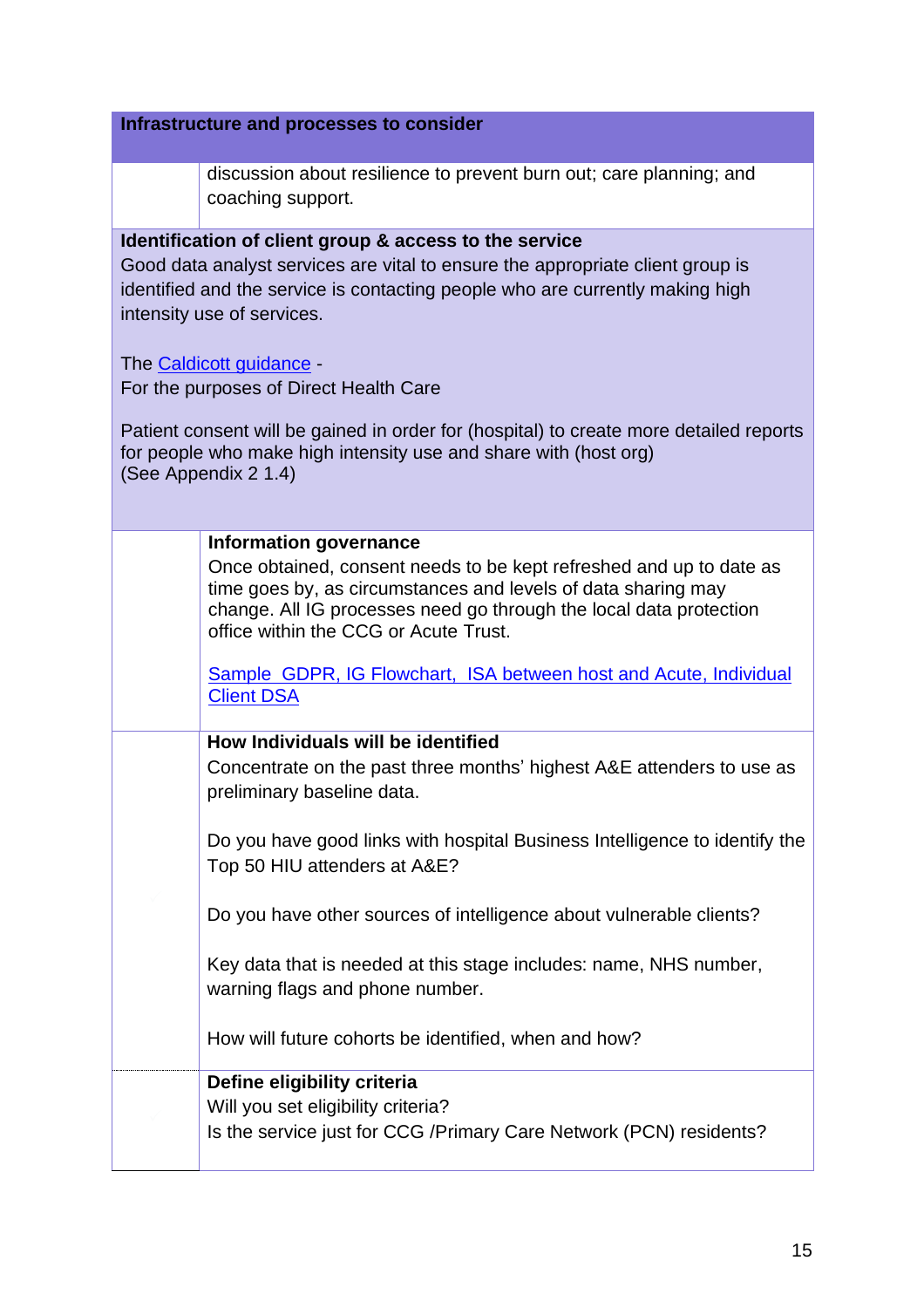| discussion about resilience to prevent burn out; care planning; and<br>coaching support.                                                                                                                                                                                                                                                                                                                                                                                                                            |  |
|---------------------------------------------------------------------------------------------------------------------------------------------------------------------------------------------------------------------------------------------------------------------------------------------------------------------------------------------------------------------------------------------------------------------------------------------------------------------------------------------------------------------|--|
| Identification of client group & access to the service<br>Good data analyst services are vital to ensure the appropriate client group is<br>identified and the service is contacting people who are currently making high<br>intensity use of services.<br>The Caldicott guidance -<br>For the purposes of Direct Health Care<br>Patient consent will be gained in order for (hospital) to create more detailed reports<br>for people who make high intensity use and share with (host org)<br>(See Appendix 2 1.4) |  |
| <b>Information governance</b>                                                                                                                                                                                                                                                                                                                                                                                                                                                                                       |  |
| Once obtained, consent needs to be kept refreshed and up to date as<br>time goes by, as circumstances and levels of data sharing may<br>change. All IG processes need go through the local data protection<br>office within the CCG or Acute Trust.                                                                                                                                                                                                                                                                 |  |
| Sample GDPR, IG Flowchart, ISA between host and Acute, Individual<br><b>Client DSA</b>                                                                                                                                                                                                                                                                                                                                                                                                                              |  |
| How Individuals will be identified<br>Concentrate on the past three months' highest A&E attenders to use as<br>preliminary baseline data.                                                                                                                                                                                                                                                                                                                                                                           |  |
| Do you have good links with hospital Business Intelligence to identify the<br>Top 50 HIU attenders at A&E?                                                                                                                                                                                                                                                                                                                                                                                                          |  |
| Do you have other sources of intelligence about vulnerable clients?                                                                                                                                                                                                                                                                                                                                                                                                                                                 |  |
| Key data that is needed at this stage includes: name, NHS number,<br>warning flags and phone number.                                                                                                                                                                                                                                                                                                                                                                                                                |  |
| How will future cohorts be identified, when and how?                                                                                                                                                                                                                                                                                                                                                                                                                                                                |  |
| Define eligibility criteria                                                                                                                                                                                                                                                                                                                                                                                                                                                                                         |  |
| Will you set eligibility criteria?<br>Is the service just for CCG / Primary Care Network (PCN) residents?                                                                                                                                                                                                                                                                                                                                                                                                           |  |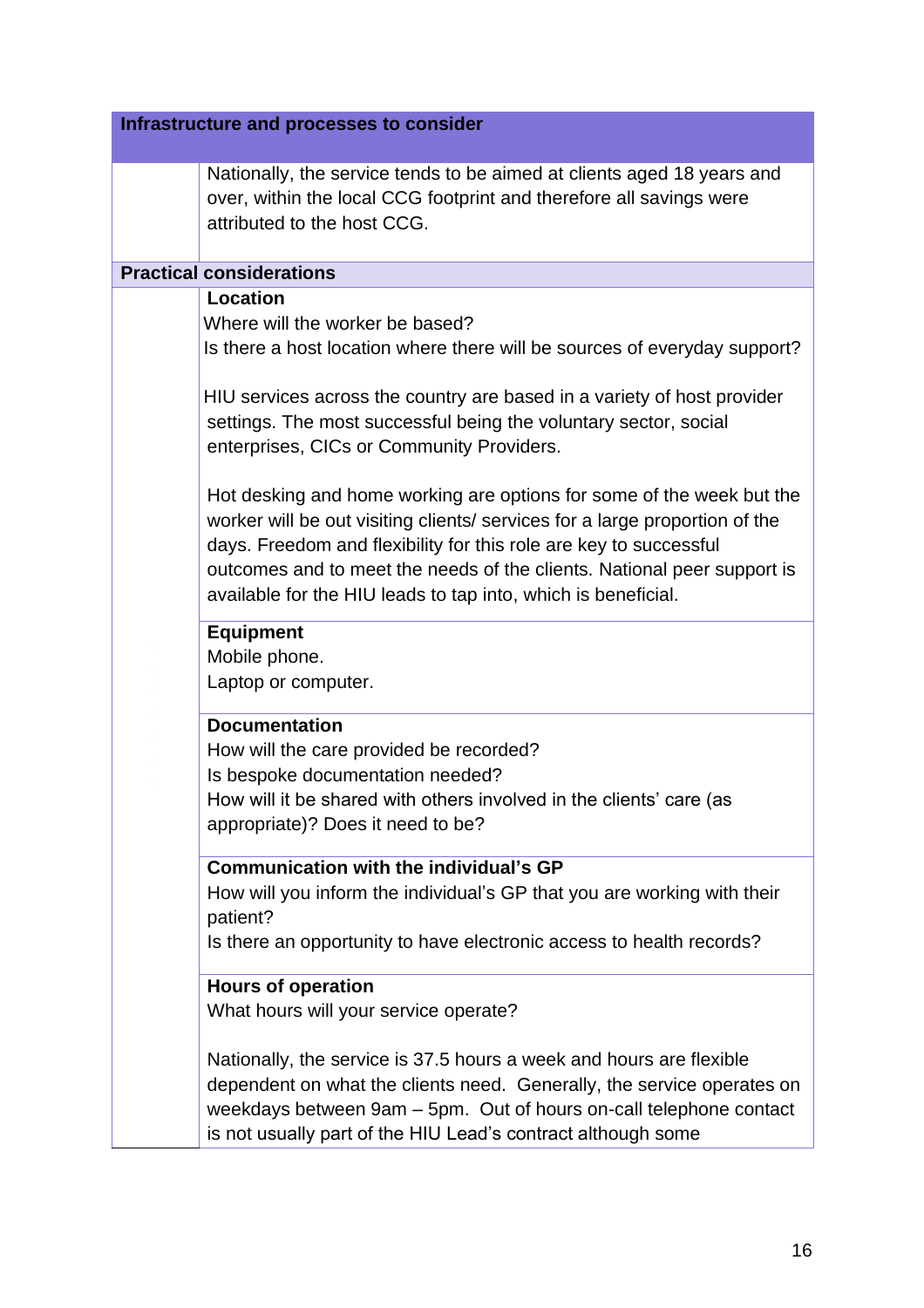| Infrastructure and processes to consider                                                                                                                                                                                                                                                                                                                              |
|-----------------------------------------------------------------------------------------------------------------------------------------------------------------------------------------------------------------------------------------------------------------------------------------------------------------------------------------------------------------------|
| Nationally, the service tends to be aimed at clients aged 18 years and<br>over, within the local CCG footprint and therefore all savings were<br>attributed to the host CCG.                                                                                                                                                                                          |
| <b>Practical considerations</b>                                                                                                                                                                                                                                                                                                                                       |
| <b>Location</b>                                                                                                                                                                                                                                                                                                                                                       |
| Where will the worker be based?<br>Is there a host location where there will be sources of everyday support?                                                                                                                                                                                                                                                          |
| HIU services across the country are based in a variety of host provider<br>settings. The most successful being the voluntary sector, social<br>enterprises, CICs or Community Providers.                                                                                                                                                                              |
| Hot desking and home working are options for some of the week but the<br>worker will be out visiting clients/ services for a large proportion of the<br>days. Freedom and flexibility for this role are key to successful<br>outcomes and to meet the needs of the clients. National peer support is<br>available for the HIU leads to tap into, which is beneficial. |
| <b>Equipment</b><br>Mobile phone.<br>Laptop or computer.                                                                                                                                                                                                                                                                                                              |
| <b>Documentation</b><br>How will the care provided be recorded?<br>Is bespoke documentation needed?<br>How will it be shared with others involved in the clients' care (as<br>appropriate)? Does it need to be?                                                                                                                                                       |
| Communication with the individual's GP<br>How will you inform the individual's GP that you are working with their<br>patient?<br>Is there an opportunity to have electronic access to health records?                                                                                                                                                                 |
| <b>Hours of operation</b><br>What hours will your service operate?                                                                                                                                                                                                                                                                                                    |
| Nationally, the service is 37.5 hours a week and hours are flexible<br>dependent on what the clients need. Generally, the service operates on<br>weekdays between 9am - 5pm. Out of hours on-call telephone contact<br>is not usually part of the HIU Lead's contract although some                                                                                   |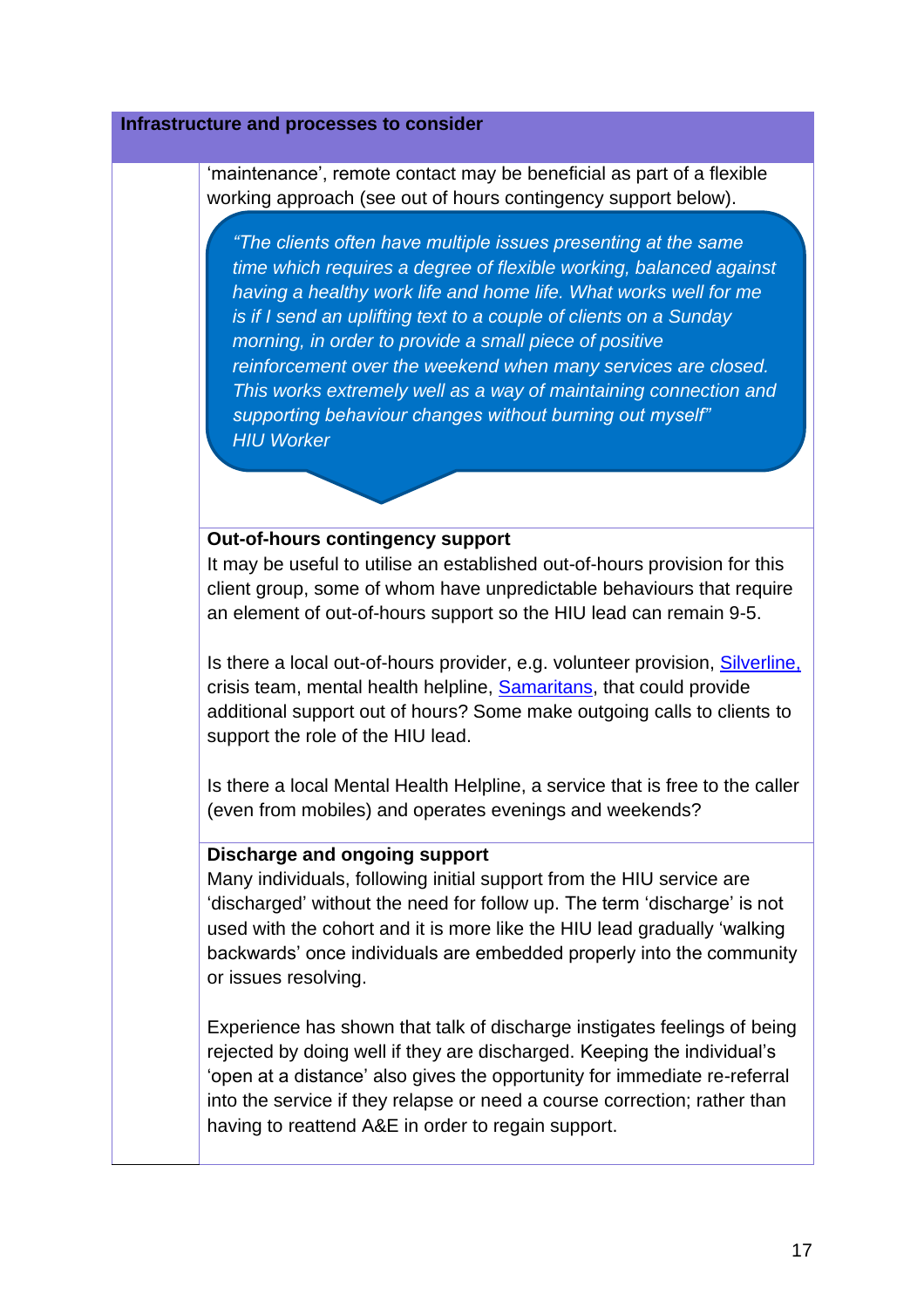'maintenance', remote contact may be beneficial as part of a flexible working approach (see out of hours contingency support below).

*"The clients often have multiple issues presenting at the same time which requires a degree of flexible working, balanced against having a healthy work life and home life. What works well for me is if I send an uplifting text to a couple of clients on a Sunday morning, in order to provide a small piece of positive reinforcement over the weekend when many services are closed. This works extremely well as a way of maintaining connection and supporting behaviour changes without burning out myself" HIU Worker*

## **Out-of-hours contingency support**

It may be useful to utilise an established out-of-hours provision for this client group, some of whom have unpredictable behaviours that require an element of out-of-hours support so the HIU lead can remain 9-5.

Is there a local out-of-hours provider, e.g. volunteer provision, [Silverline,](https://www.thesilverline.org.uk/) crisis team, mental health helpline, [Samaritans,](http://www.samaritans.org/) that could provide additional support out of hours? Some make outgoing calls to clients to support the role of the HIU lead.

Is there a local Mental Health Helpline, a service that is free to the caller (even from mobiles) and operates evenings and weekends?

#### **Discharge and ongoing support**

Many individuals, following initial support from the HIU service are 'discharged' without the need for follow up. The term 'discharge' is not used with the cohort and it is more like the HIU lead gradually 'walking backwards' once individuals are embedded properly into the community or issues resolving.

Experience has shown that talk of discharge instigates feelings of being rejected by doing well if they are discharged. Keeping the individual's 'open at a distance' also gives the opportunity for immediate re-referral into the service if they relapse or need a course correction; rather than having to reattend A&E in order to regain support.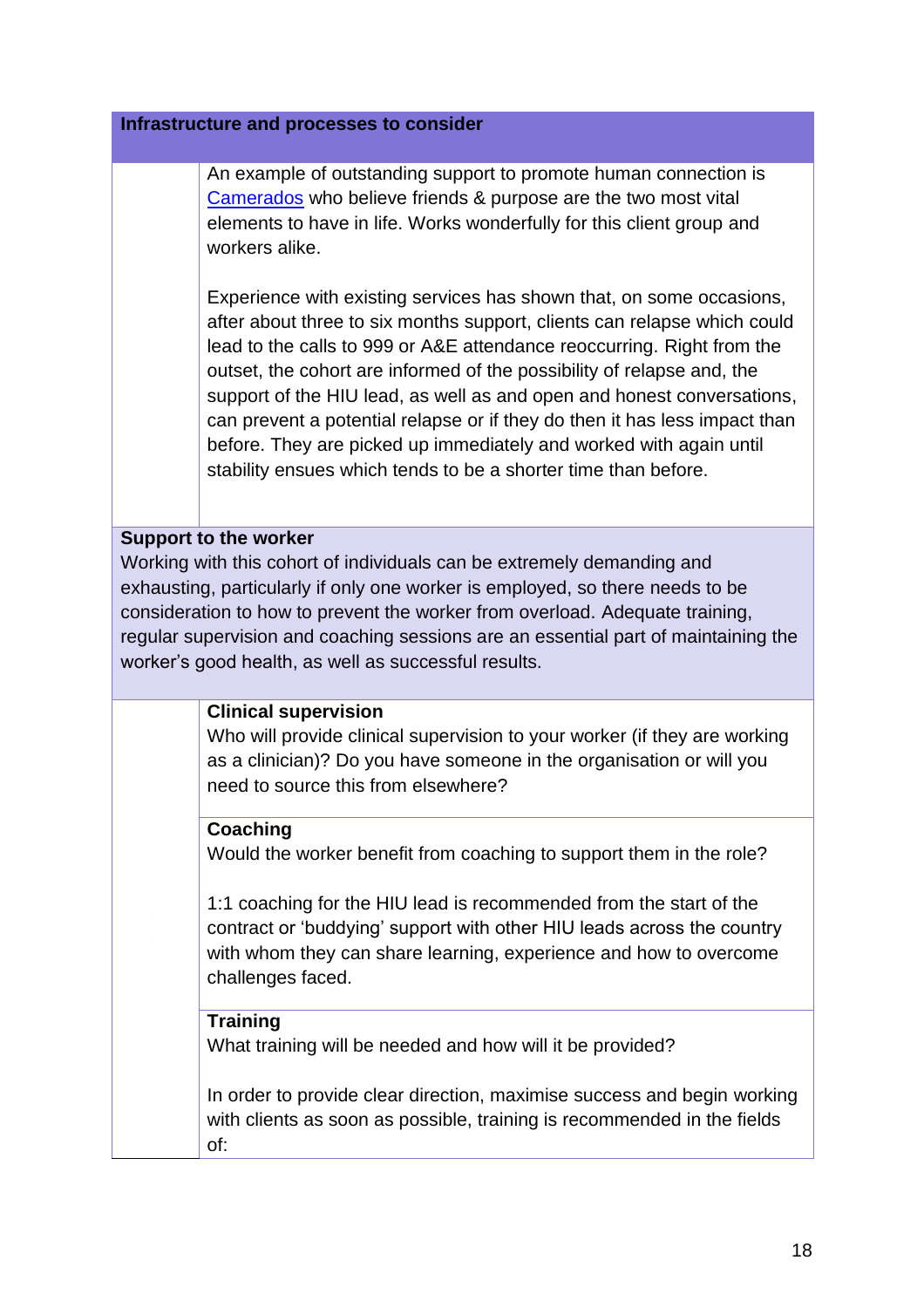An example of outstanding support to promote human connection is [Camerados](https://www.camerados.org/) who believe friends & purpose are the two most vital elements to have in life. Works wonderfully for this client group and workers alike.

Experience with existing services has shown that, on some occasions, after about three to six months support, clients can relapse which could lead to the calls to 999 or A&E attendance reoccurring. Right from the outset, the cohort are informed of the possibility of relapse and, the support of the HIU lead, as well as and open and honest conversations, can prevent a potential relapse or if they do then it has less impact than before. They are picked up immediately and worked with again until stability ensues which tends to be a shorter time than before.

## **Support to the worker**

Working with this cohort of individuals can be extremely demanding and exhausting, particularly if only one worker is employed, so there needs to be consideration to how to prevent the worker from overload. Adequate training, regular supervision and coaching sessions are an essential part of maintaining the worker's good health, as well as successful results.

## **Clinical supervision**

Who will provide clinical supervision to your worker (if they are working as a clinician)? Do you have someone in the organisation or will you need to source this from elsewhere?

## **Coaching**

Would the worker benefit from coaching to support them in the role?

1:1 coaching for the HIU lead is recommended from the start of the contract or 'buddying' support with other HIU leads across the country with whom they can share learning, experience and how to overcome challenges faced.

## **Training**

What training will be needed and how will it be provided?

In order to provide clear direction, maximise success and begin working with clients as soon as possible, training is recommended in the fields of: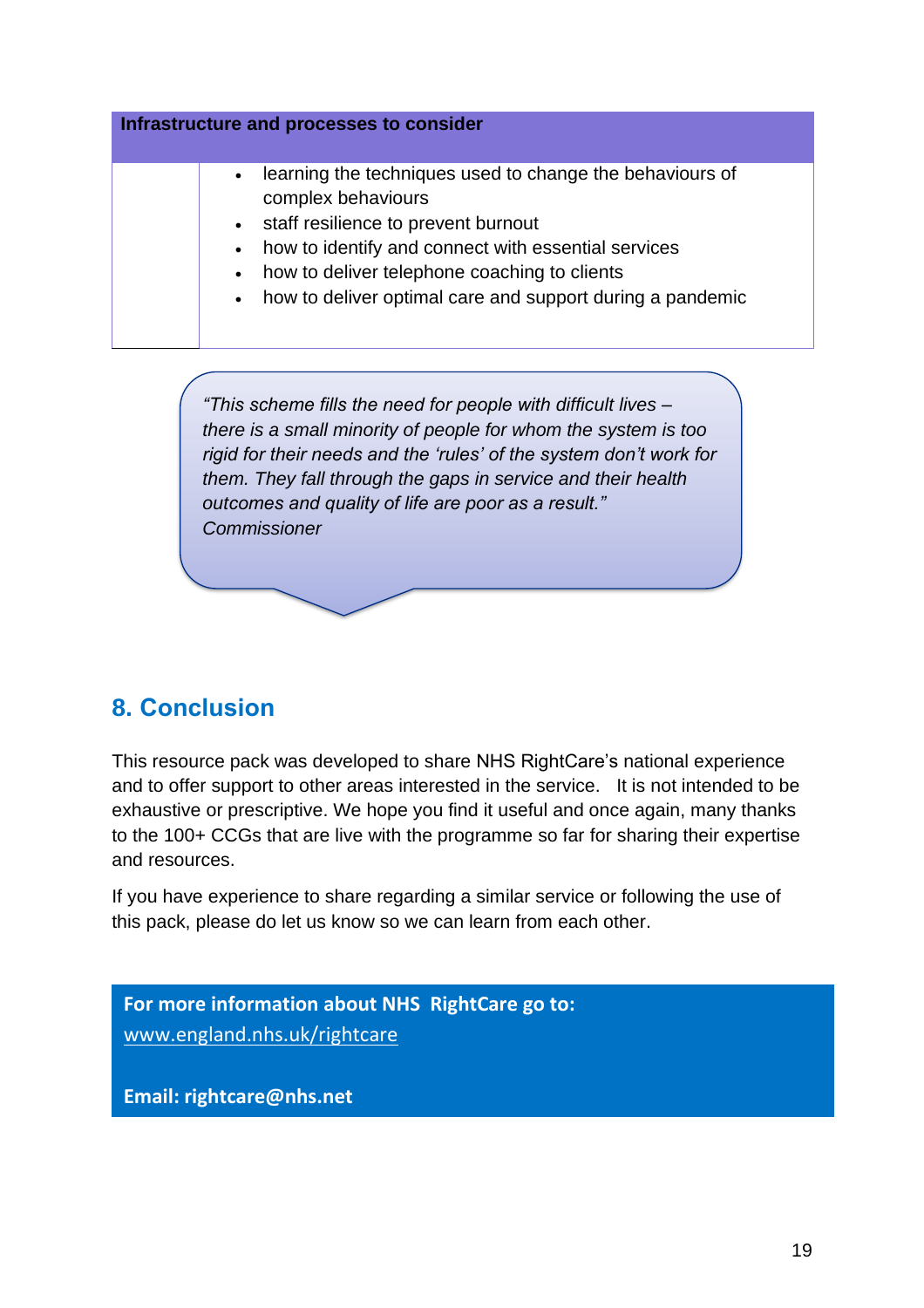

*there is a small minority of people for whom the system is too rigid for their needs and the 'rules' of the system don't work for them. They fall through the gaps in service and their health outcomes and quality of life are poor as a result." Commissioner*

## <span id="page-18-0"></span>**8. Conclusion**

This resource pack was developed to share NHS RightCare's national experience and to offer support to other areas interested in the service. It is not intended to be exhaustive or prescriptive. We hope you find it useful and once again, many thanks to the 100+ CCGs that are live with the programme so far for sharing their expertise and resources.

If you have experience to share regarding a similar service or following the use of this pack, please do let us know so we can learn from each other.

**For more information about NHS RightCare go to:** [www.england.nhs.uk/rightcare](http://www.england.nhs.uk/rightcare)

**Email: rightcare@nhs.net**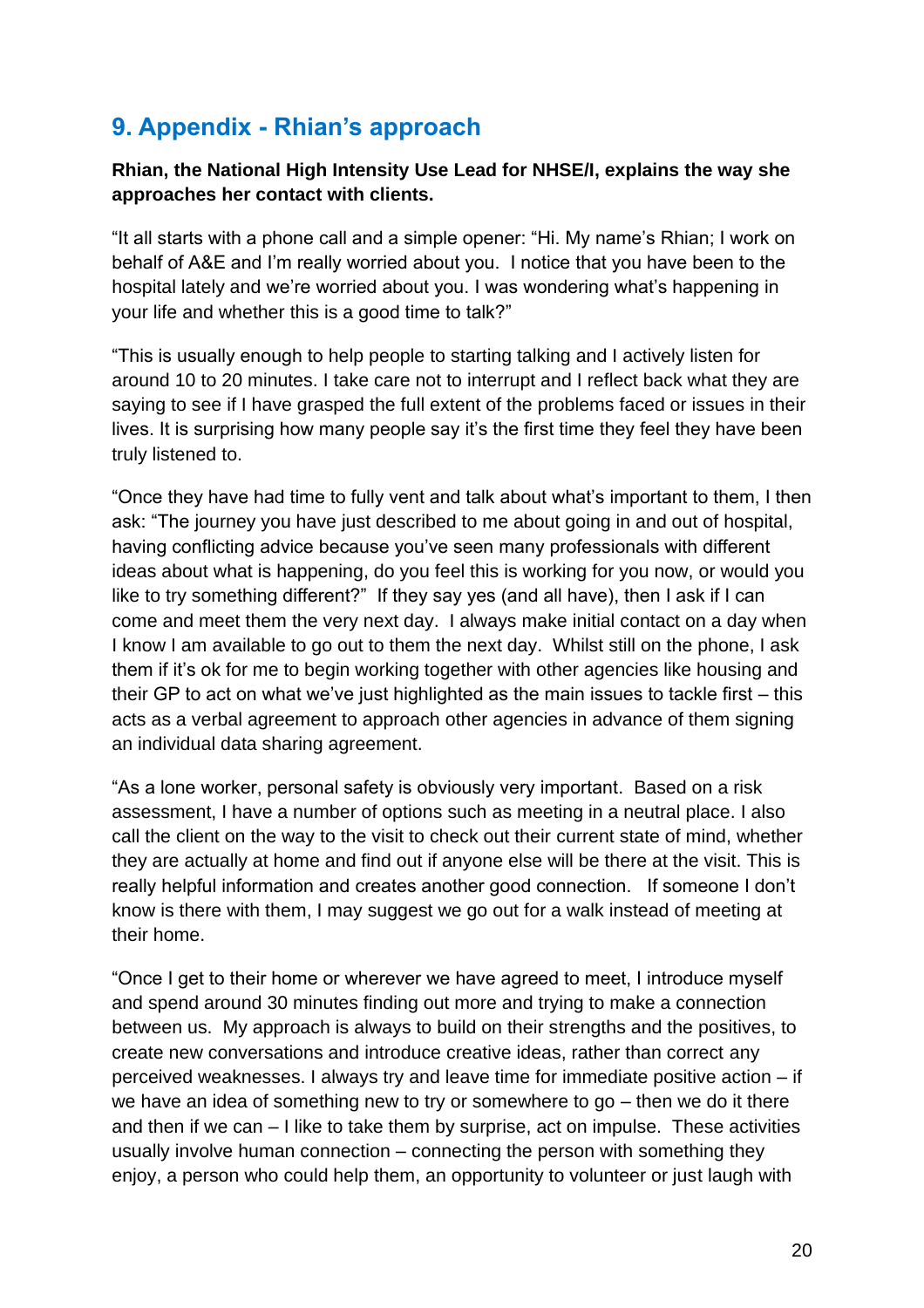## <span id="page-19-0"></span>**9. Appendix - Rhian's approach**

## **Rhian, the National High Intensity Use Lead for NHSE/I, explains the way she approaches her contact with clients.**

"It all starts with a phone call and a simple opener: "Hi. My name's Rhian; I work on behalf of A&E and I'm really worried about you. I notice that you have been to the hospital lately and we're worried about you. I was wondering what's happening in your life and whether this is a good time to talk?"

"This is usually enough to help people to starting talking and I actively listen for around 10 to 20 minutes. I take care not to interrupt and I reflect back what they are saying to see if I have grasped the full extent of the problems faced or issues in their lives. It is surprising how many people say it's the first time they feel they have been truly listened to.

"Once they have had time to fully vent and talk about what's important to them, I then ask: "The journey you have just described to me about going in and out of hospital, having conflicting advice because you've seen many professionals with different ideas about what is happening, do you feel this is working for you now, or would you like to try something different?" If they say yes (and all have), then I ask if I can come and meet them the very next day. I always make initial contact on a day when I know I am available to go out to them the next day. Whilst still on the phone, I ask them if it's ok for me to begin working together with other agencies like housing and their GP to act on what we've just highlighted as the main issues to tackle first – this acts as a verbal agreement to approach other agencies in advance of them signing an individual data sharing agreement.

"As a lone worker, personal safety is obviously very important. Based on a risk assessment, I have a number of options such as meeting in a neutral place. I also call the client on the way to the visit to check out their current state of mind, whether they are actually at home and find out if anyone else will be there at the visit. This is really helpful information and creates another good connection. If someone I don't know is there with them, I may suggest we go out for a walk instead of meeting at their home.

"Once I get to their home or wherever we have agreed to meet, I introduce myself and spend around 30 minutes finding out more and trying to make a connection between us. My approach is always to build on their strengths and the positives, to create new conversations and introduce creative ideas, rather than correct any perceived weaknesses. I always try and leave time for immediate positive action – if we have an idea of something new to try or somewhere to go – then we do it there and then if we can – I like to take them by surprise, act on impulse. These activities usually involve human connection – connecting the person with something they enjoy, a person who could help them, an opportunity to volunteer or just laugh with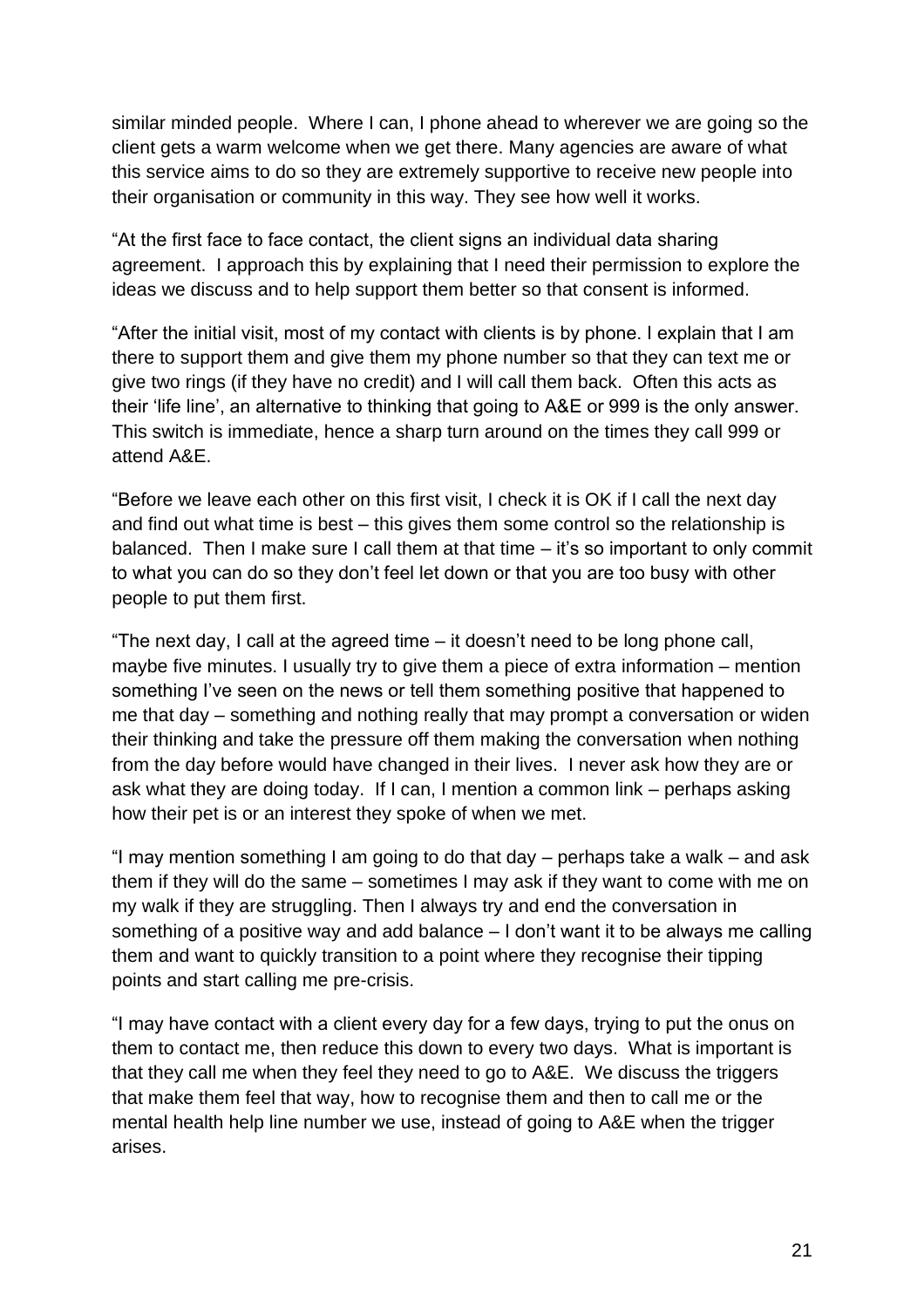similar minded people. Where I can, I phone ahead to wherever we are going so the client gets a warm welcome when we get there. Many agencies are aware of what this service aims to do so they are extremely supportive to receive new people into their organisation or community in this way. They see how well it works.

"At the first face to face contact, the client signs an individual data sharing agreement. I approach this by explaining that I need their permission to explore the ideas we discuss and to help support them better so that consent is informed.

"After the initial visit, most of my contact with clients is by phone. I explain that I am there to support them and give them my phone number so that they can text me or give two rings (if they have no credit) and I will call them back. Often this acts as their 'life line', an alternative to thinking that going to A&E or 999 is the only answer. This switch is immediate, hence a sharp turn around on the times they call 999 or attend A&E.

"Before we leave each other on this first visit, I check it is OK if I call the next day and find out what time is best – this gives them some control so the relationship is balanced. Then I make sure I call them at that time – it's so important to only commit to what you can do so they don't feel let down or that you are too busy with other people to put them first.

"The next day, I call at the agreed time – it doesn't need to be long phone call, maybe five minutes. I usually try to give them a piece of extra information – mention something I've seen on the news or tell them something positive that happened to me that day – something and nothing really that may prompt a conversation or widen their thinking and take the pressure off them making the conversation when nothing from the day before would have changed in their lives. I never ask how they are or ask what they are doing today. If I can, I mention a common link – perhaps asking how their pet is or an interest they spoke of when we met.

"I may mention something I am going to do that day – perhaps take a walk – and ask them if they will do the same – sometimes I may ask if they want to come with me on my walk if they are struggling. Then I always try and end the conversation in something of a positive way and add balance – I don't want it to be always me calling them and want to quickly transition to a point where they recognise their tipping points and start calling me pre-crisis.

"I may have contact with a client every day for a few days, trying to put the onus on them to contact me, then reduce this down to every two days. What is important is that they call me when they feel they need to go to A&E. We discuss the triggers that make them feel that way, how to recognise them and then to call me or the mental health help line number we use, instead of going to A&E when the trigger arises.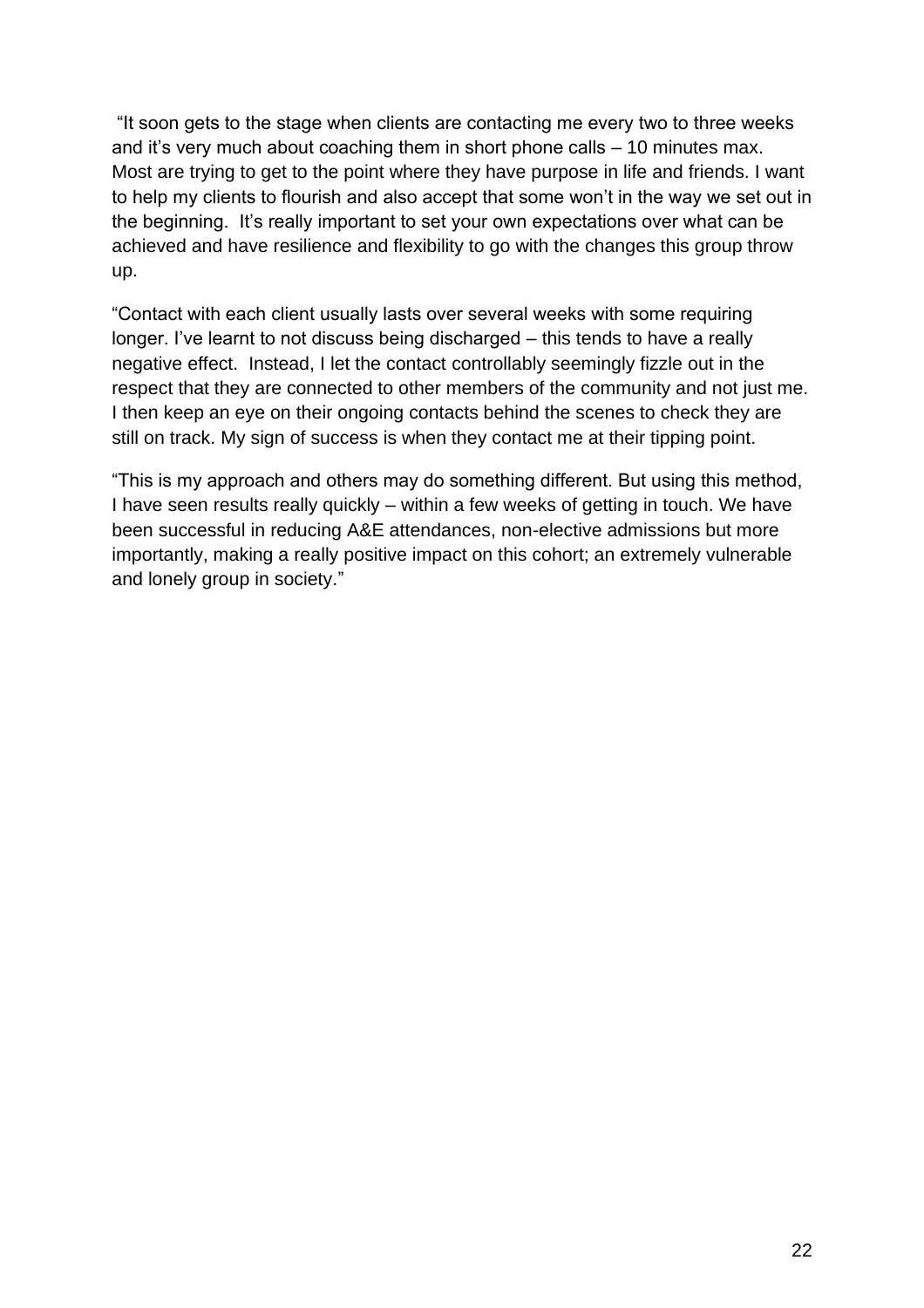"It soon gets to the stage when clients are contacting me every two to three weeks and it's very much about coaching them in short phone calls  $-10$  minutes max. Most are trying to get to the point where they have purpose in life and friends. I want to help my clients to flourish and also accept that some won't in the way we set out in the beginning. It's really important to set your own expectations over what can be achieved and have resilience and flexibility to go with the changes this group throw up.

"Contact with each client usually lasts over several weeks with some requiring longer. I've learnt to not discuss being discharged – this tends to have a really negative effect. Instead, I let the contact controllably seemingly fizzle out in the respect that they are connected to other members of the community and not just me. I then keep an eye on their ongoing contacts behind the scenes to check they are still on track. My sign of success is when they contact me at their tipping point.

<span id="page-21-0"></span>"This is my approach and others may do something different. But using this method, I have seen results really quickly – within a few weeks of getting in touch. We have been successful in reducing A&E attendances, non-elective admissions but more importantly, making a really positive impact on this cohort; an extremely vulnerable and lonely group in society."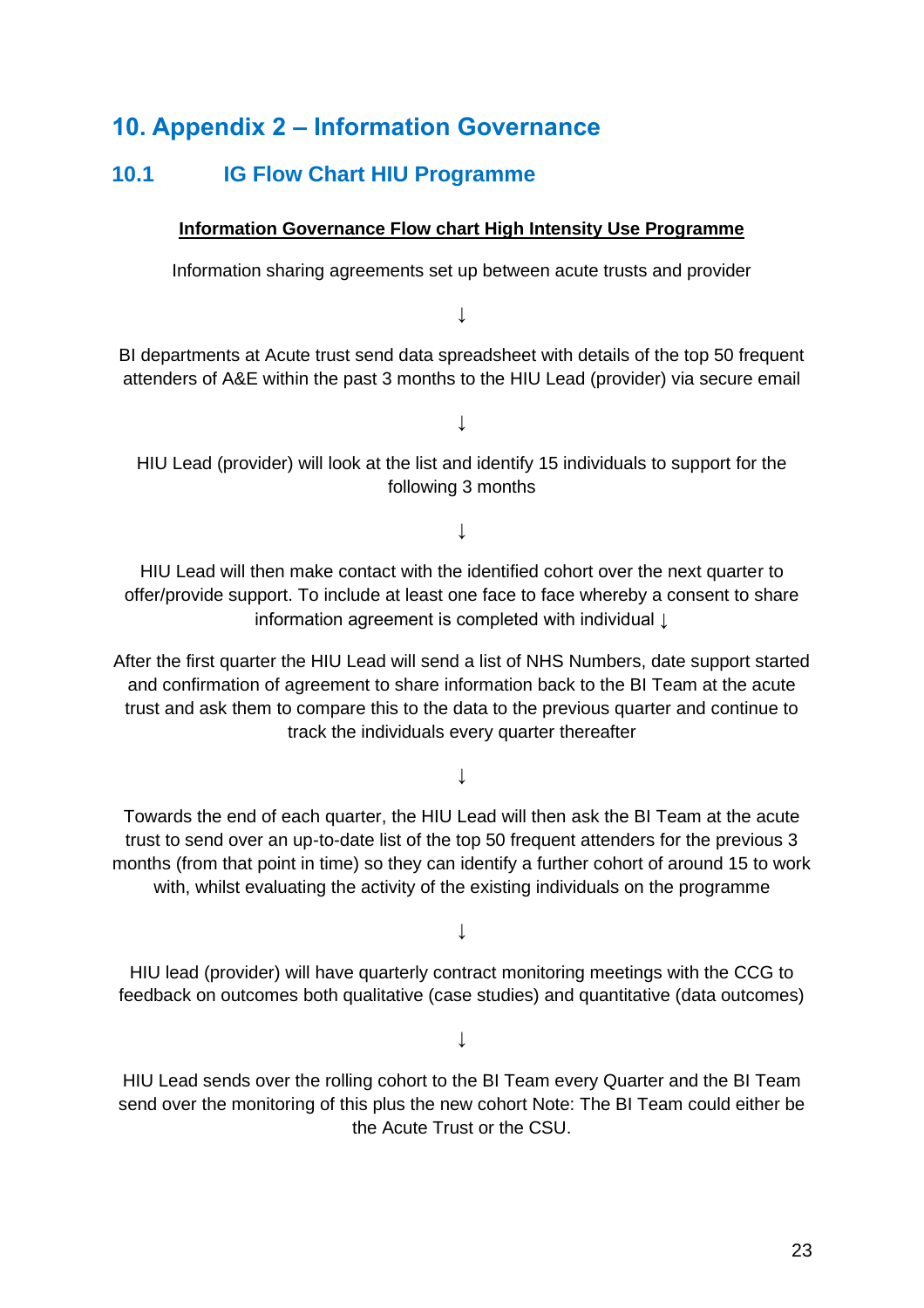## **10. Appendix 2 – Information Governance**

## <span id="page-22-1"></span>**10.1 IG Flow Chart HIU Programme**

## <span id="page-22-0"></span>**Information Governance Flow chart High Intensity Use Programme**

Information sharing agreements set up between acute trusts and provider

↓

BI departments at Acute trust send data spreadsheet with details of the top 50 frequent attenders of A&E within the past 3 months to the HIU Lead (provider) via secure email

↓

HIU Lead (provider) will look at the list and identify 15 individuals to support for the following 3 months

↓

HIU Lead will then make contact with the identified cohort over the next quarter to offer/provide support. To include at least one face to face whereby a consent to share information agreement is completed with individual ↓

After the first quarter the HIU Lead will send a list of NHS Numbers, date support started and confirmation of agreement to share information back to the BI Team at the acute trust and ask them to compare this to the data to the previous quarter and continue to track the individuals every quarter thereafter

#### ↓

Towards the end of each quarter, the HIU Lead will then ask the BI Team at the acute trust to send over an up-to-date list of the top 50 frequent attenders for the previous 3 months (from that point in time) so they can identify a further cohort of around 15 to work with, whilst evaluating the activity of the existing individuals on the programme

↓

HIU lead (provider) will have quarterly contract monitoring meetings with the CCG to feedback on outcomes both qualitative (case studies) and quantitative (data outcomes)

↓

HIU Lead sends over the rolling cohort to the BI Team every Quarter and the BI Team send over the monitoring of this plus the new cohort Note: The BI Team could either be the Acute Trust or the CSU.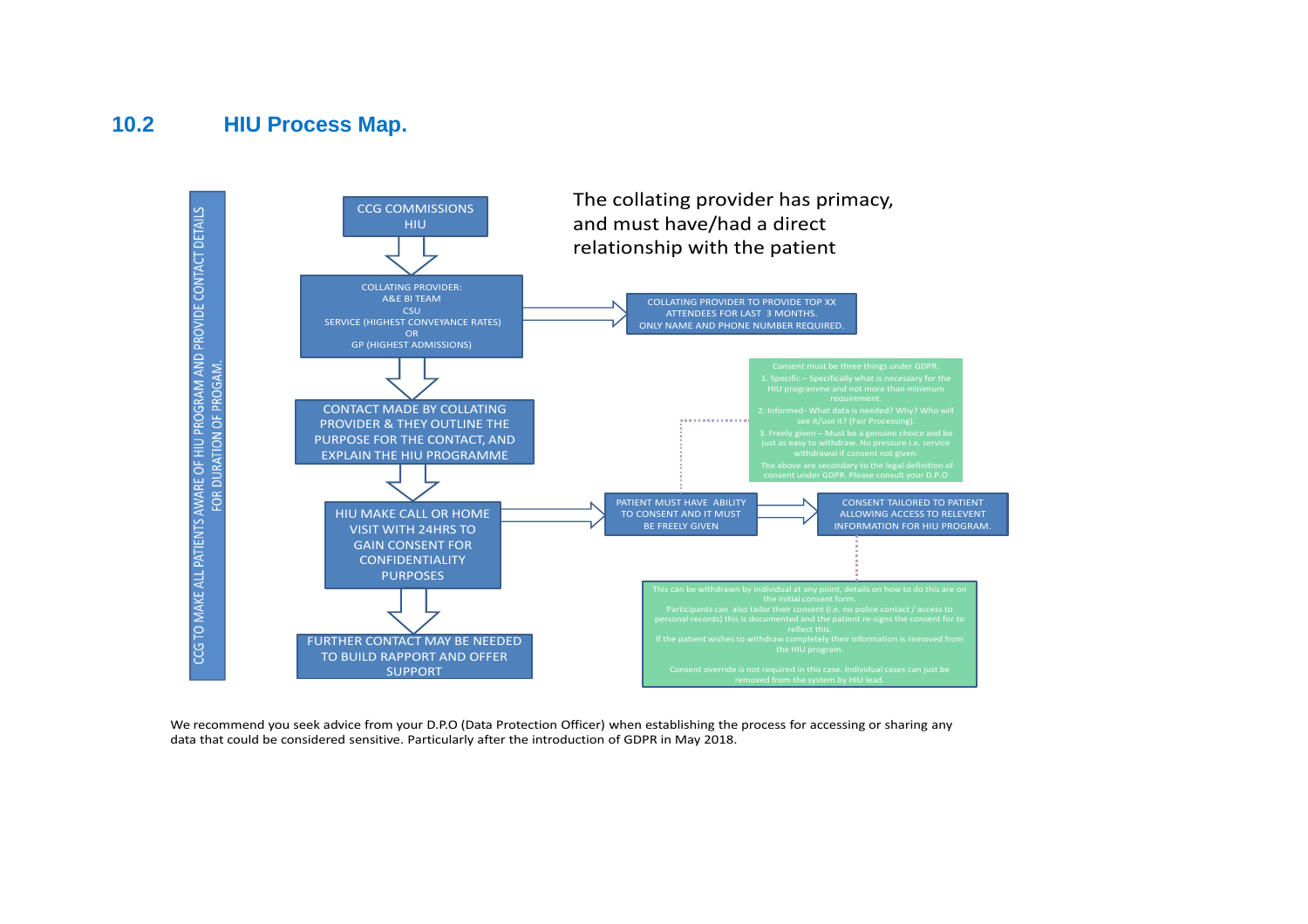## **10.2 HIU Process Map.**



<span id="page-23-1"></span><span id="page-23-0"></span>We recommend you seek advice from your D.P.O (Data Protection Officer) when establishing the process for accessing or sharing any data that could be considered sensitive. Particularly after the introduction of GDPR in May 2018.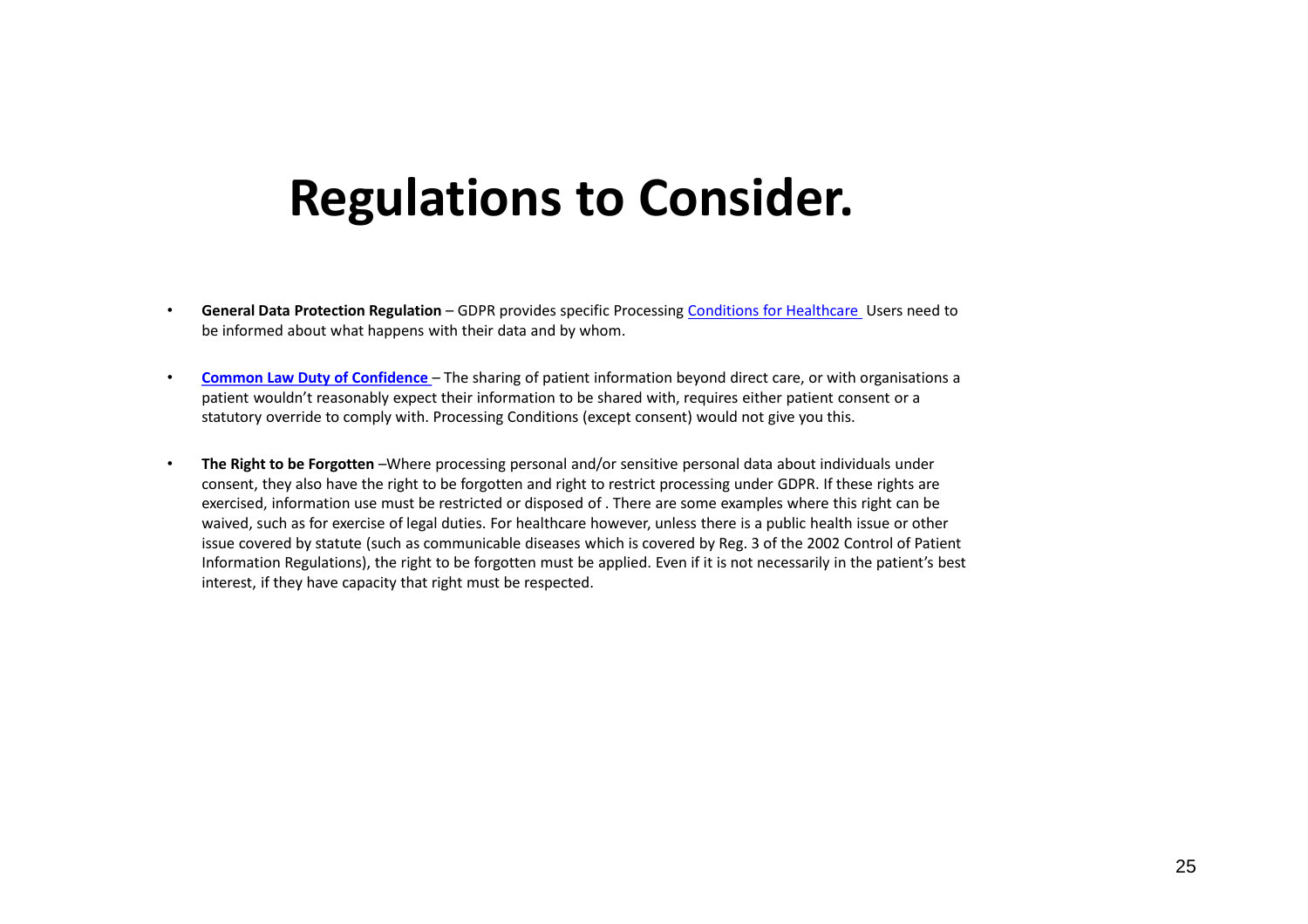## **Regulations to Consider.**

- **General Data Protection Regulation**  GDPR provides specific Processing Conditions for Healthcare Users need to be informed about what happens with their data and by whom.
- **Common Law Duty of Confidence**  The sharing of patient information beyond direct care, or with organisations a patient wouldn't reasonably expect their information to be shared with, requires either patient consent or a statutory override to comply with. Processing Conditions (except consent) would not give you this.
- **The Right to be Forgotten** *–*Where processing personal and/or sensitive personal data about individuals under consent, they also have the right to be forgotten and right to restrict processing under GDPR. If these rights are exercised, information use must be restricted or disposed of . There are some examples where this right can be waived, such as for exercise of legal duties. For healthcare however, unless there is a public health issue or other issue covered by statute (such as communicable diseases which is covered by Reg. 3 of the 2002 Control of Patient Information Regulations), the right to be forgotten must be applied. Even if it is not necessarily in the patient's best interest, if they have capacity that right must be respected.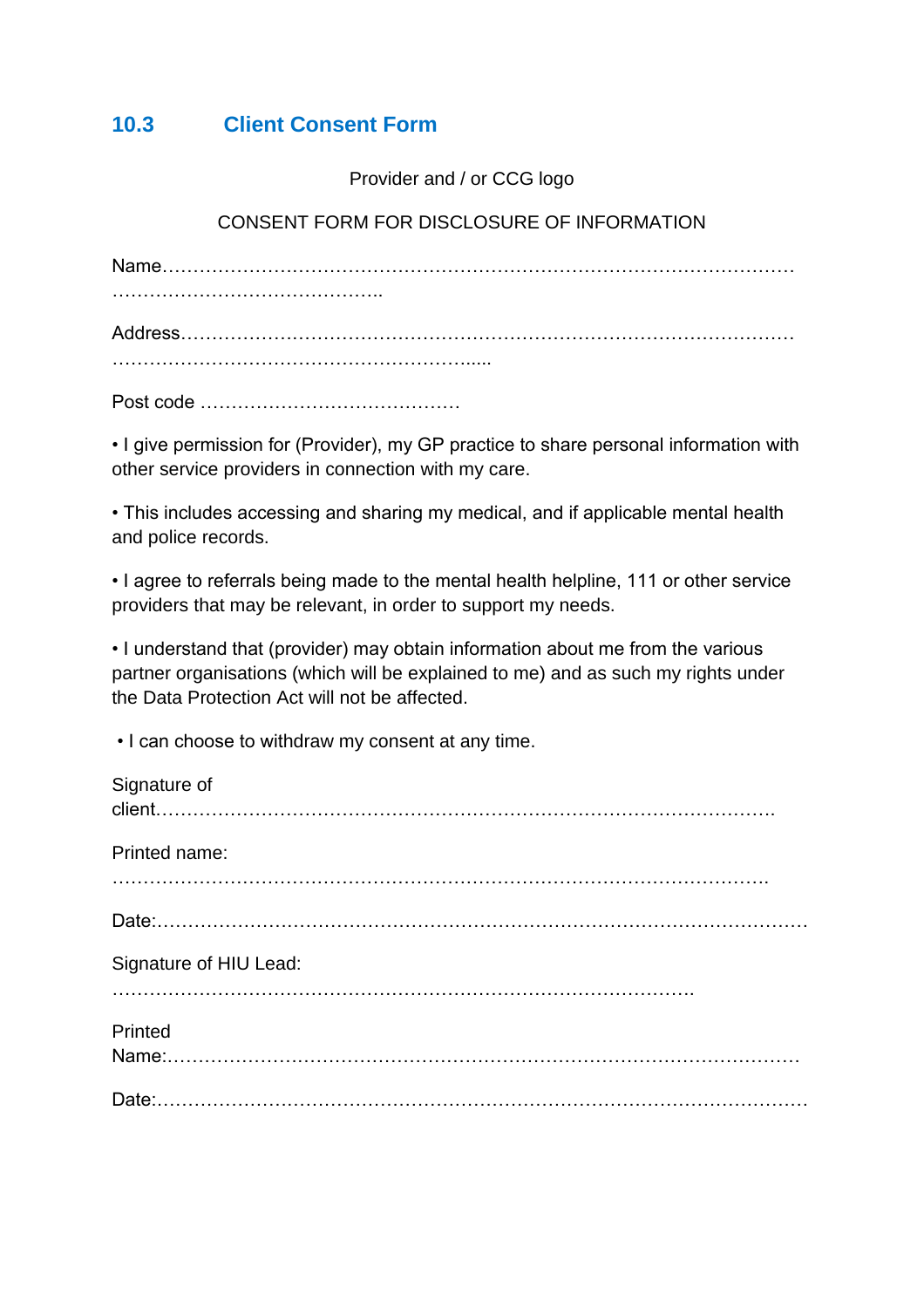## <span id="page-25-1"></span>**10.3 Client Consent Form**

Provider and / or CCG logo

## <span id="page-25-0"></span>CONSENT FORM FOR DISCLOSURE OF INFORMATION

Name………………………………………………………………………………………… …………………………………….. Address……………………………………………………………………………………… …………………………………………………………………………

Post code ……………………………………

• I give permission for (Provider), my GP practice to share personal information with other service providers in connection with my care.

• This includes accessing and sharing my medical, and if applicable mental health and police records.

• I agree to referrals being made to the mental health helpline, 111 or other service providers that may be relevant, in order to support my needs.

• I understand that (provider) may obtain information about me from the various partner organisations (which will be explained to me) and as such my rights under the Data Protection Act will not be affected.

• I can choose to withdraw my consent at any time.

| Signature of           |
|------------------------|
| Printed name:          |
|                        |
| Signature of HIU Lead: |
| Printed                |
|                        |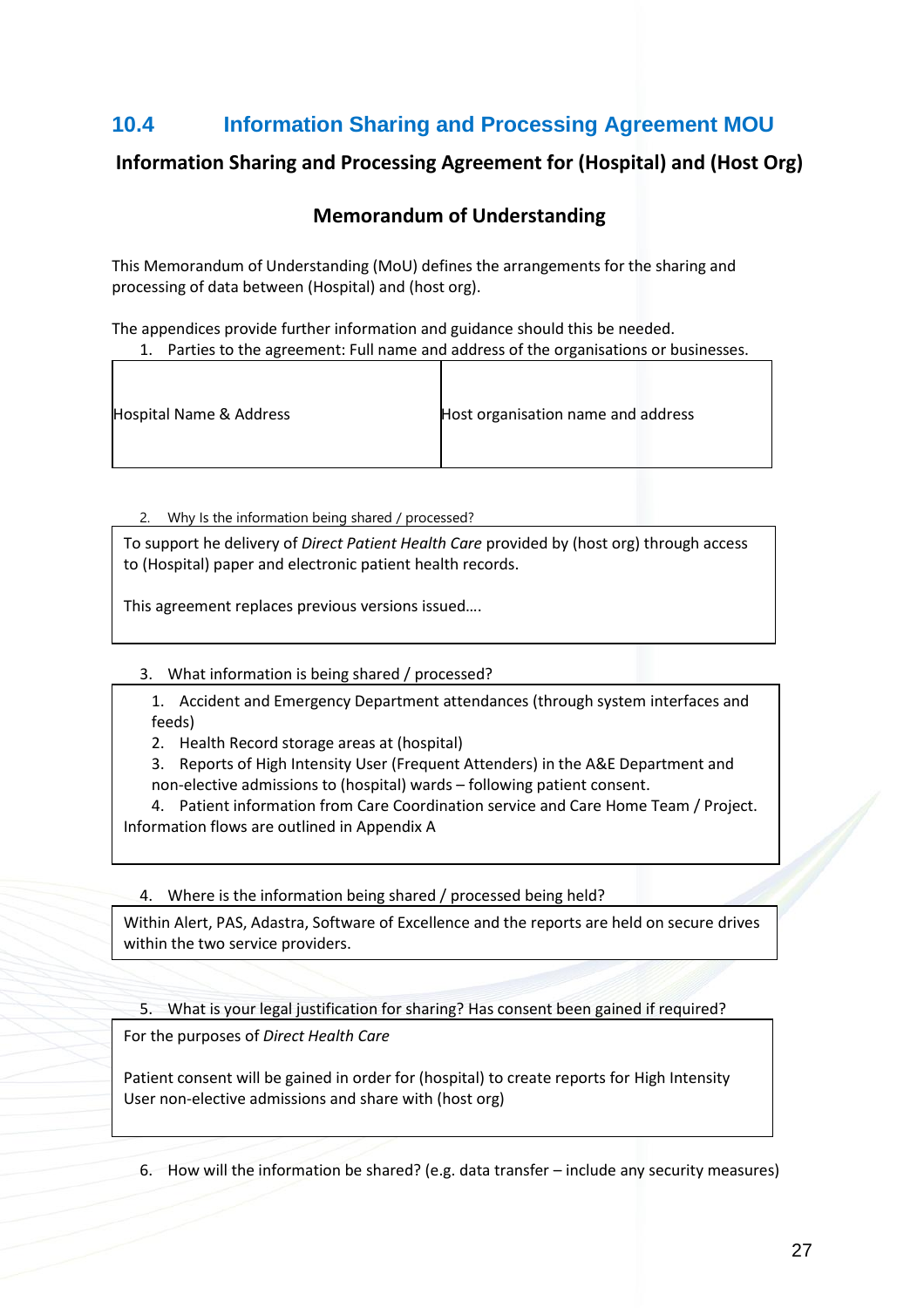## <span id="page-26-1"></span><span id="page-26-0"></span>**10.4 Information Sharing and Processing Agreement MOU**

## **Information Sharing and Processing Agreement for (Hospital) and (Host Org)**

## **Memorandum of Understanding**

This Memorandum of Understanding (MoU) defines the arrangements for the sharing and processing of data between (Hospital) and (host org).

The appendices provide further information and guidance should this be needed.

1. Parties to the agreement: Full name and address of the organisations or businesses.

| Hospital Name & Address | Host organisation name and address |
|-------------------------|------------------------------------|
|-------------------------|------------------------------------|

2. Why Is the information being shared / processed?

To support he delivery of *Direct Patient Health Care* provided by (host org) through access to (Hospital) paper and electronic patient health records.

This agreement replaces previous versions issued….

3. What information is being shared / processed?

1. Accident and Emergency Department attendances (through system interfaces and feeds)

2. Health Record storage areas at (hospital)

3. Reports of High Intensity User (Frequent Attenders) in the A&E Department and non-elective admissions to (hospital) wards – following patient consent.

4. Patient information from Care Coordination service and Care Home Team / Project. Information flows are outlined in Appendix A

4. Where is the information being shared / processed being held?

Within Alert, PAS, Adastra, Software of Excellence and the reports are held on secure drives within the two service providers.

5. What is your legal justification for sharing? Has consent been gained if required?

For the purposes of *Direct Health Care*

Patient consent will be gained in order for (hospital) to create reports for High Intensity User non-elective admissions and share with (host org)

6. How will the information be shared? (e.g. data transfer – include any security measures)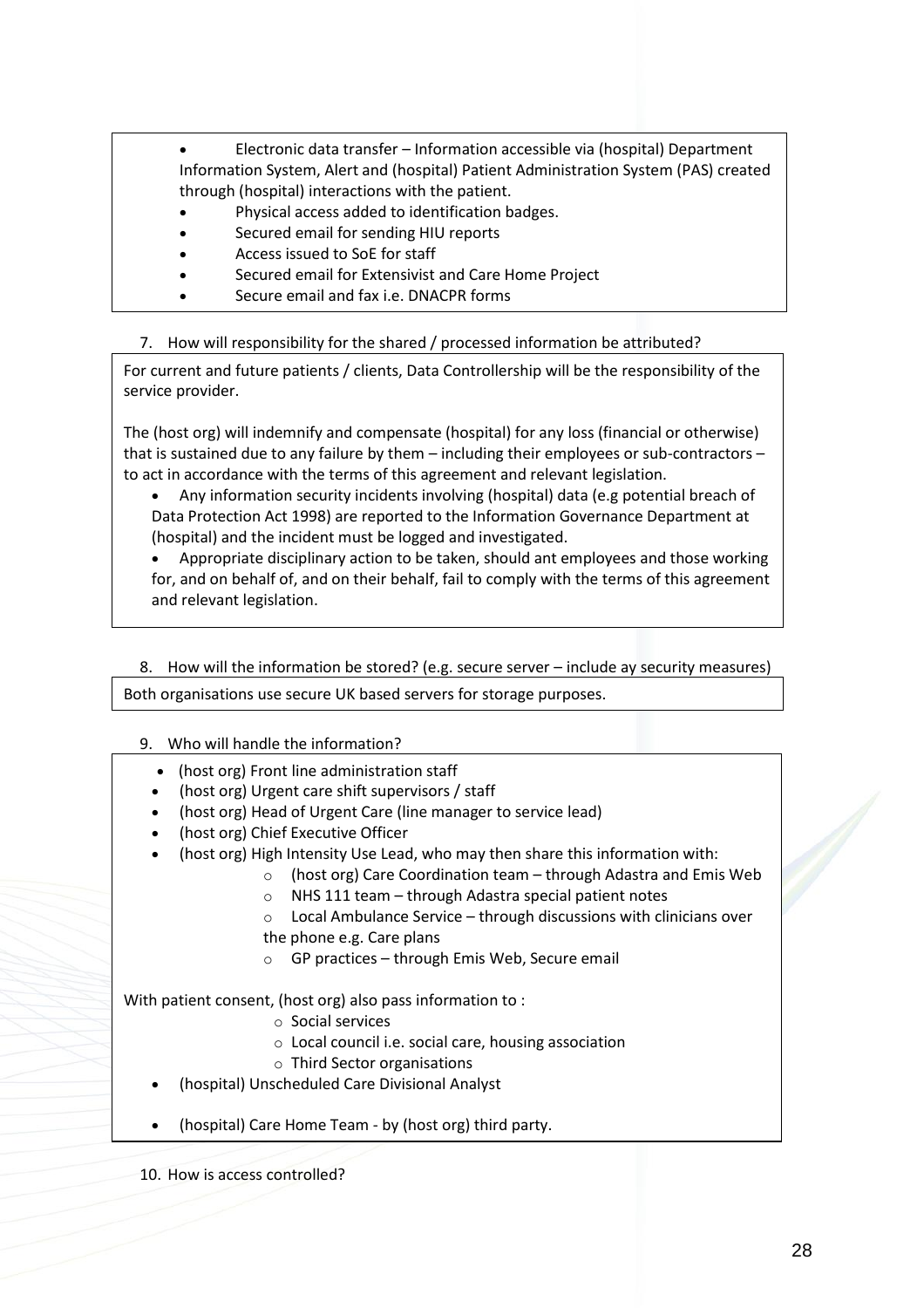- Electronic data transfer Information accessible via (hospital) Department Information System, Alert and (hospital) Patient Administration System (PAS) created through (hospital) interactions with the patient.
- Physical access added to identification badges.
- Secured email for sending HIU reports
- Access issued to SoE for staff
- Secured email for Extensivist and Care Home Project
- Secure email and fax i.e. DNACPR forms

7. How will responsibility for the shared / processed information be attributed?

For current and future patients / clients, Data Controllership will be the responsibility of the service provider.

The (host org) will indemnify and compensate (hospital) for any loss (financial or otherwise) that is sustained due to any failure by them – including their employees or sub-contractors – to act in accordance with the terms of this agreement and relevant legislation.

• Any information security incidents involving (hospital) data (e.g potential breach of Data Protection Act 1998) are reported to the Information Governance Department at (hospital) and the incident must be logged and investigated.

• Appropriate disciplinary action to be taken, should ant employees and those working for, and on behalf of, and on their behalf, fail to comply with the terms of this agreement and relevant legislation.

8. How will the information be stored? (e.g. secure server – include ay security measures)

Both organisations use secure UK based servers for storage purposes.

- 9. Who will handle the information?
	- (host org) Front line administration staff
	- (host org) Urgent care shift supervisors / staff
	- (host org) Head of Urgent Care (line manager to service lead)
	- (host org) Chief Executive Officer
	- (host org) High Intensity Use Lead, who may then share this information with:
		- o (host org) Care Coordination team through Adastra and Emis Web
		- o NHS 111 team through Adastra special patient notes
		- o Local Ambulance Service through discussions with clinicians over the phone e.g. Care plans
		- o GP practices through Emis Web, Secure email

With patient consent, (host org) also pass information to :

- o Social services
- o Local council i.e. social care, housing association
- o Third Sector organisations
- (hospital) Unscheduled Care Divisional Analyst
- (hospital) Care Home Team by (host org) third party.

10. How is access controlled?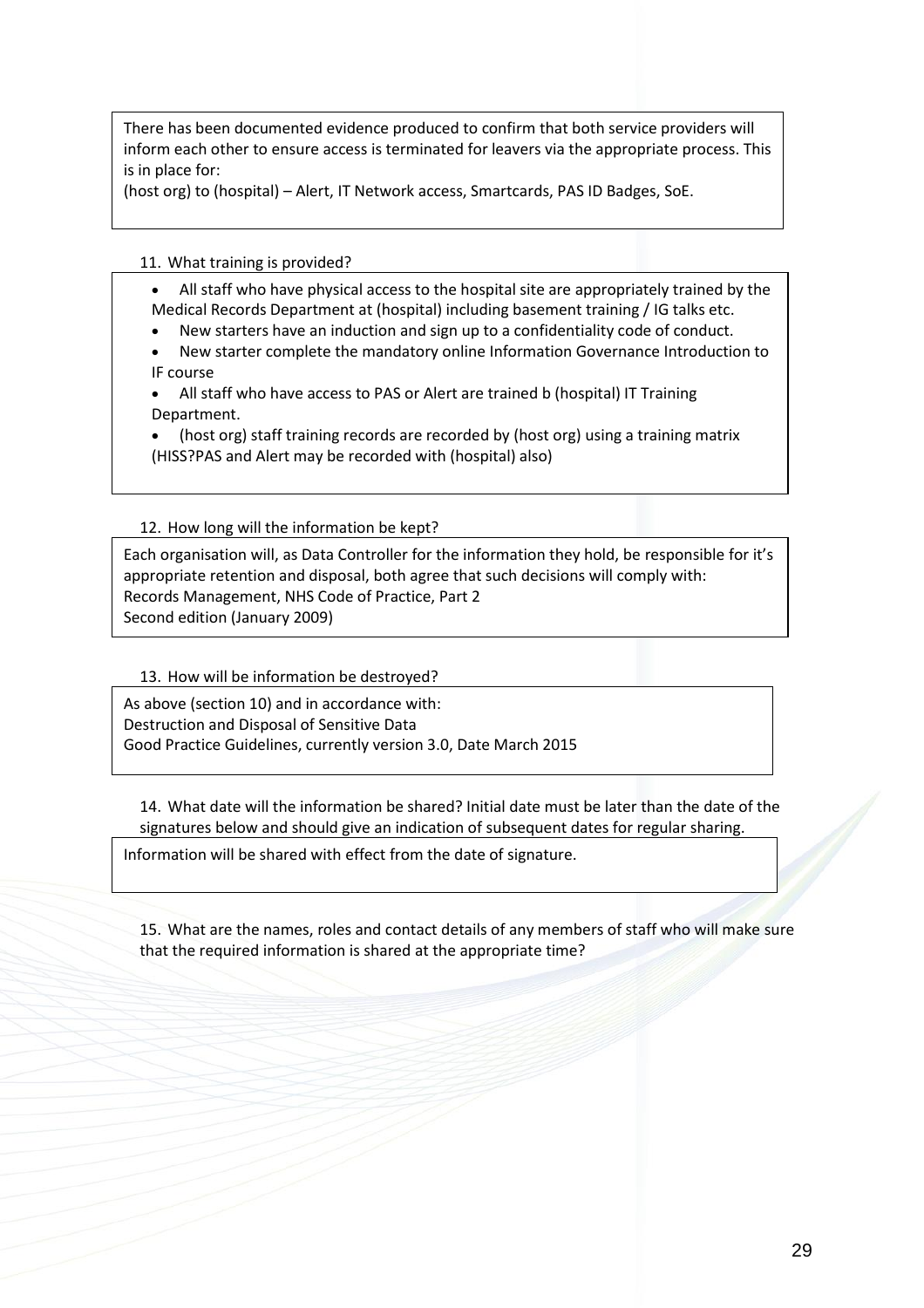There has been documented evidence produced to confirm that both service providers will inform each other to ensure access is terminated for leavers via the appropriate process. This is in place for:

(host org) to (hospital) – Alert, IT Network access, Smartcards, PAS ID Badges, SoE.

#### 11. What training is provided?

- All staff who have physical access to the hospital site are appropriately trained by the Medical Records Department at (hospital) including basement training / IG talks etc.
- New starters have an induction and sign up to a confidentiality code of conduct.
- New starter complete the mandatory online Information Governance Introduction to IF course
- All staff who have access to PAS or Alert are trained b (hospital) IT Training Department.

• (host org) staff training records are recorded by (host org) using a training matrix (HISS?PAS and Alert may be recorded with (hospital) also)

#### 12. How long will the information be kept?

Each organisation will, as Data Controller for the information they hold, be responsible for it's appropriate retention and disposal, both agree that such decisions will comply with: Records Management, NHS Code of Practice, Part 2 Second edition (January 2009)

#### 13. How will be information be destroyed?

As above (section 10) and in accordance with: Destruction and Disposal of Sensitive Data Good Practice Guidelines, currently version 3.0, Date March 2015

14. What date will the information be shared? Initial date must be later than the date of the signatures below and should give an indication of subsequent dates for regular sharing.

Information will be shared with effect from the date of signature.

15. What are the names, roles and contact details of any members of staff who will make sure that the required information is shared at the appropriate time?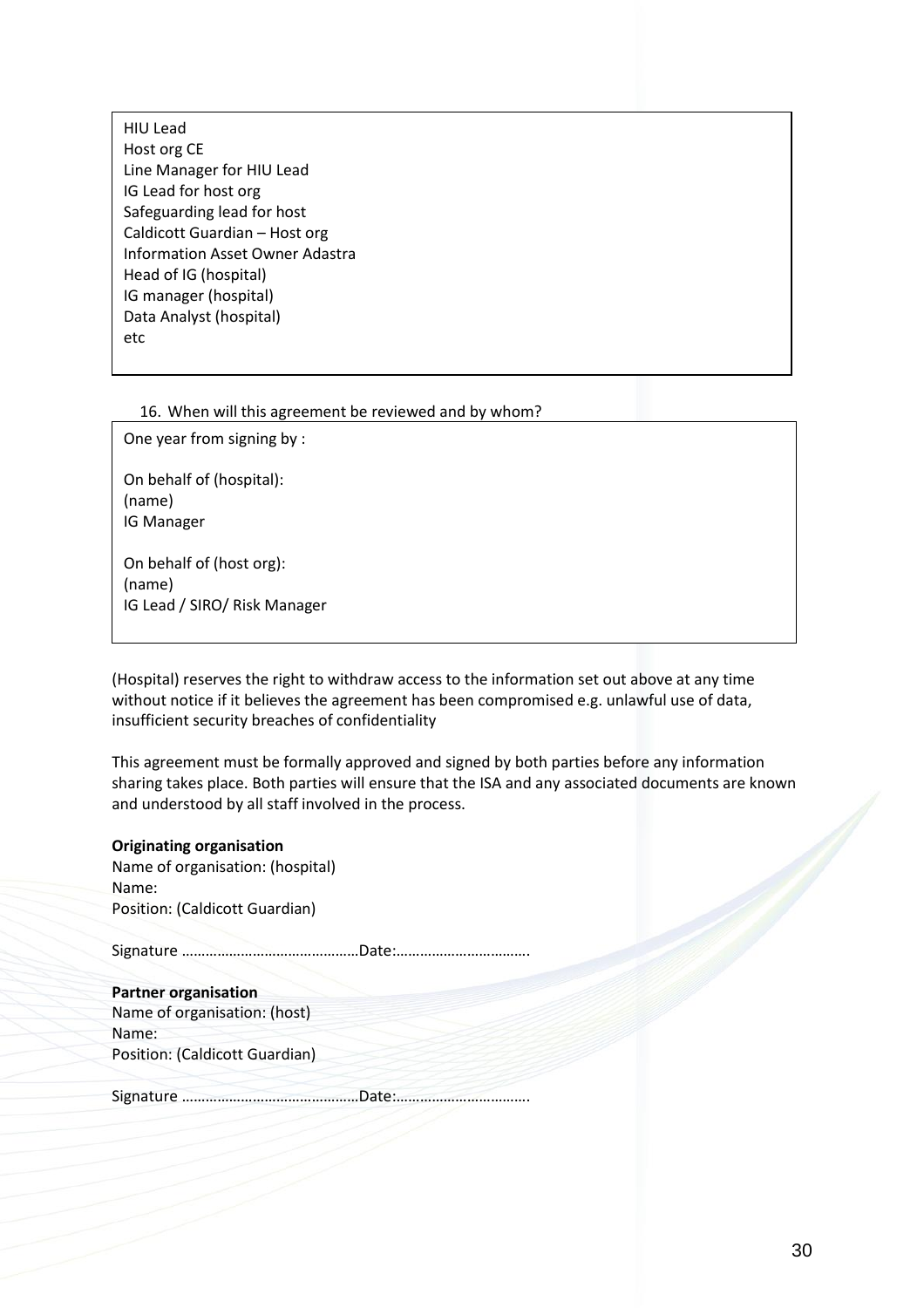HIU Lead Host org CE Line Manager for HIU Lead IG Lead for host org Safeguarding lead for host Caldicott Guardian – Host org Information Asset Owner Adastra Head of IG (hospital) IG manager (hospital) Data Analyst (hospital) etc

#### 16. When will this agreement be reviewed and by whom?

One year from signing by :

On behalf of (hospital): (name) IG Manager

On behalf of (host org): (name) IG Lead / SIRO/ Risk Manager

(Hospital) reserves the right to withdraw access to the information set out above at any time without notice if it believes the agreement has been compromised e.g. unlawful use of data, insufficient security breaches of confidentiality

This agreement must be formally approved and signed by both parties before any information sharing takes place. Both parties will ensure that the ISA and any associated documents are known and understood by all staff involved in the process.

#### **Originating organisation**

Name of organisation: (hospital) Name: Position: (Caldicott Guardian)

Signature ………………………………………Date:…………………………….

**Partner organisation** Name of organisation: (host) Name: Position: (Caldicott Guardian)

Signature ………………………………………Date:…………………………….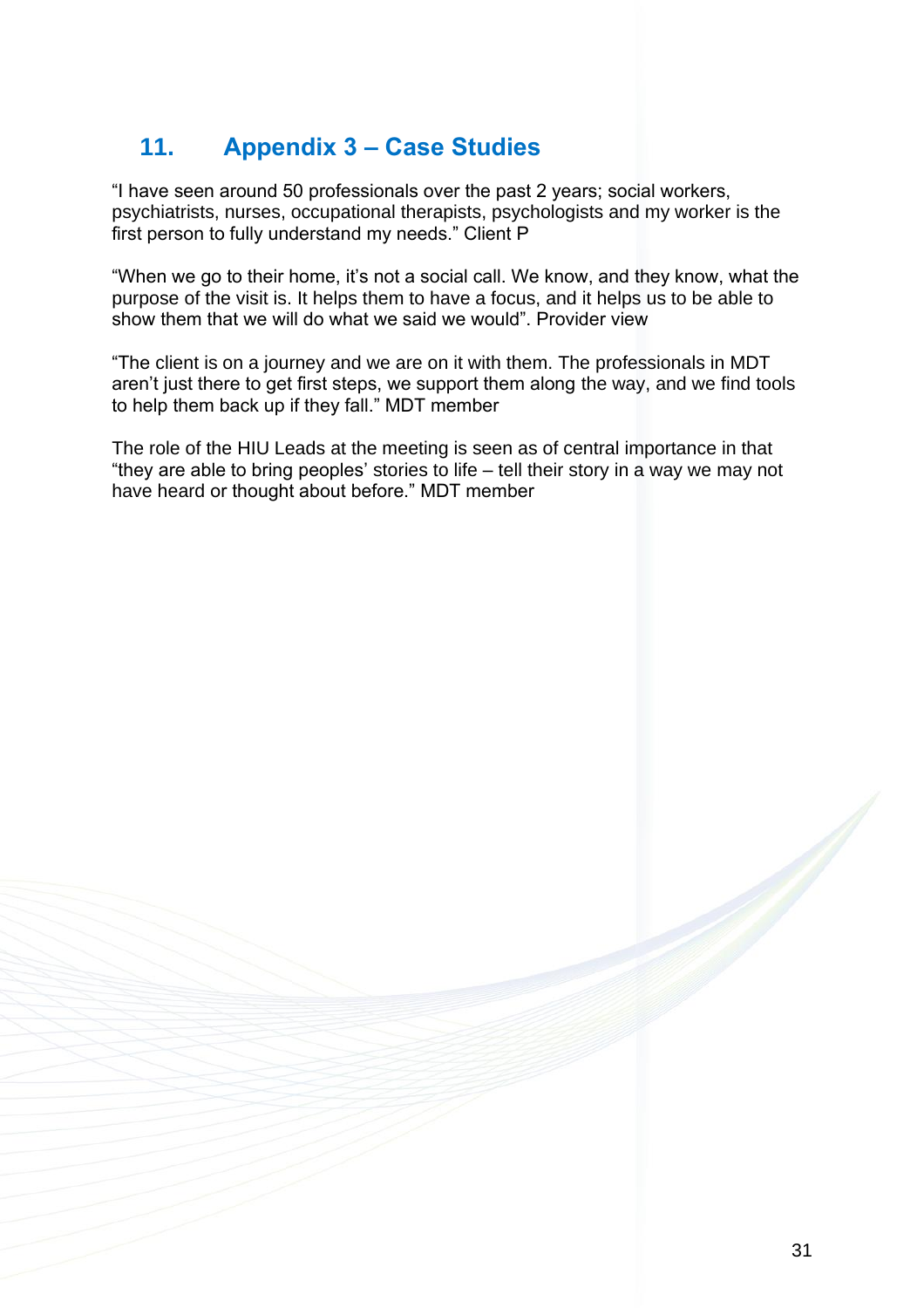## <span id="page-30-0"></span>**11. Appendix 3 – Case Studies**

"I have seen around 50 professionals over the past 2 years; social workers, psychiatrists, nurses, occupational therapists, psychologists and my worker is the first person to fully understand my needs." Client P

"When we go to their home, it's not a social call. We know, and they know, what the purpose of the visit is. It helps them to have a focus, and it helps us to be able to show them that we will do what we said we would". Provider view

"The client is on a journey and we are on it with them. The professionals in MDT aren't just there to get first steps, we support them along the way, and we find tools to help them back up if they fall." MDT member

The role of the HIU Leads at the meeting is seen as of central importance in that "they are able to bring peoples' stories to life – tell their story in a way we may not have heard or thought about before." MDT member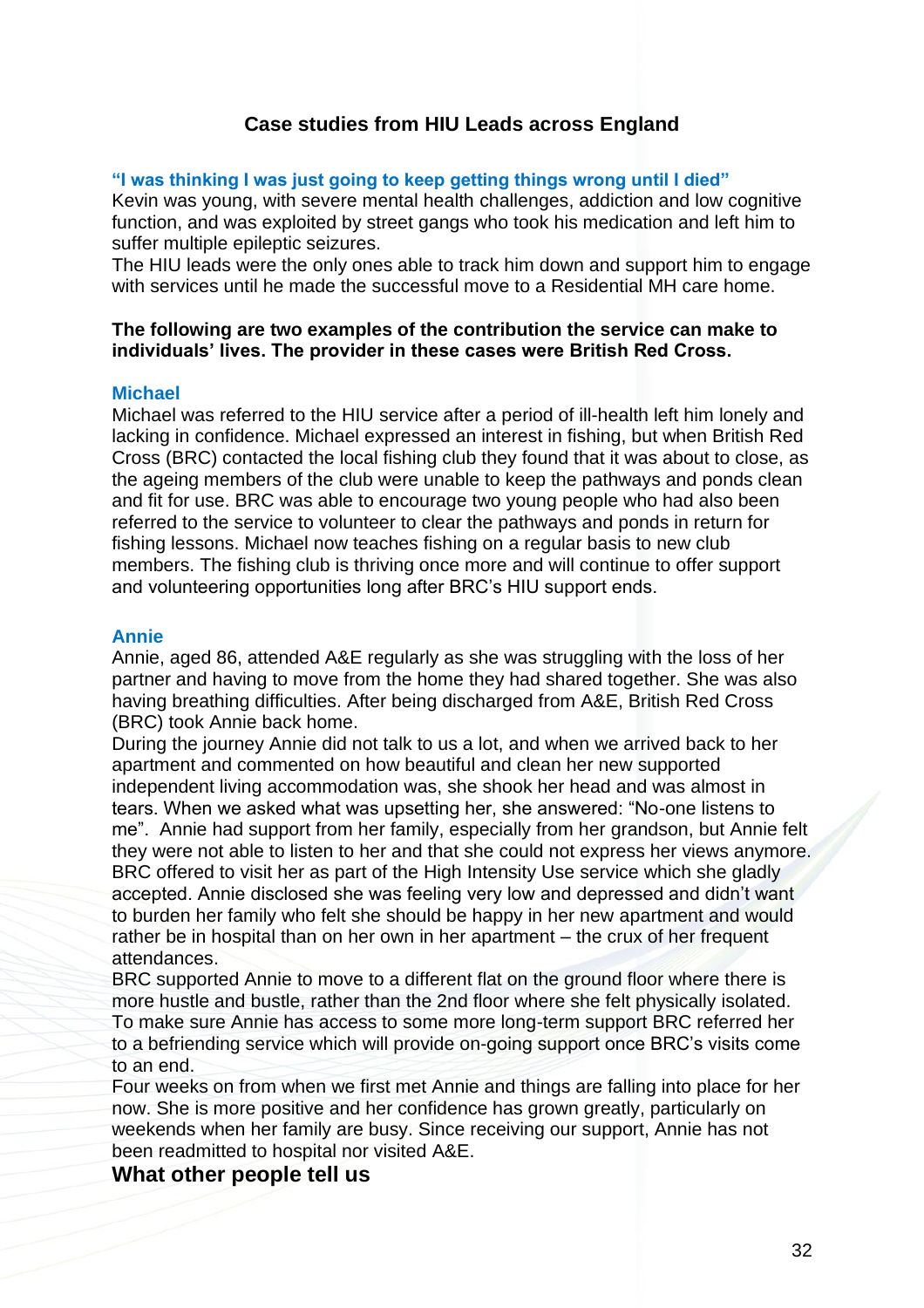## **Case studies from HIU Leads across England**

#### **"I was thinking I was just going to keep getting things wrong until I died"**

Kevin was young, with severe mental health challenges, addiction and low cognitive function, and was exploited by street gangs who took his medication and left him to suffer multiple epileptic seizures.

The HIU leads were the only ones able to track him down and support him to engage with services until he made the successful move to a Residential MH care home.

## **The following are two examples of the contribution the service can make to individuals' lives. The provider in these cases were British Red Cross.**

#### **Michael**

Michael was referred to the HIU service after a period of ill-health left him lonely and lacking in confidence. Michael expressed an interest in fishing, but when British Red Cross (BRC) contacted the local fishing club they found that it was about to close, as the ageing members of the club were unable to keep the pathways and ponds clean and fit for use. BRC was able to encourage two young people who had also been referred to the service to volunteer to clear the pathways and ponds in return for fishing lessons. Michael now teaches fishing on a regular basis to new club members. The fishing club is thriving once more and will continue to offer support and volunteering opportunities long after BRC's HIU support ends.

#### **Annie**

Annie, aged 86, attended A&E regularly as she was struggling with the loss of her partner and having to move from the home they had shared together. She was also having breathing difficulties. After being discharged from A&E, British Red Cross (BRC) took Annie back home.

During the journey Annie did not talk to us a lot, and when we arrived back to her apartment and commented on how beautiful and clean her new supported independent living accommodation was, she shook her head and was almost in tears. When we asked what was upsetting her, she answered: "No-one listens to me". Annie had support from her family, especially from her grandson, but Annie felt they were not able to listen to her and that she could not express her views anymore. BRC offered to visit her as part of the High Intensity Use service which she gladly accepted. Annie disclosed she was feeling very low and depressed and didn't want to burden her family who felt she should be happy in her new apartment and would rather be in hospital than on her own in her apartment – the crux of her frequent attendances.

BRC supported Annie to move to a different flat on the ground floor where there is more hustle and bustle, rather than the 2nd floor where she felt physically isolated. To make sure Annie has access to some more long-term support BRC referred her to a befriending service which will provide on-going support once BRC's visits come to an end.

Four weeks on from when we first met Annie and things are falling into place for her now. She is more positive and her confidence has grown greatly, particularly on weekends when her family are busy. Since receiving our support, Annie has not been readmitted to hospital nor visited A&E.

## **What other people tell us**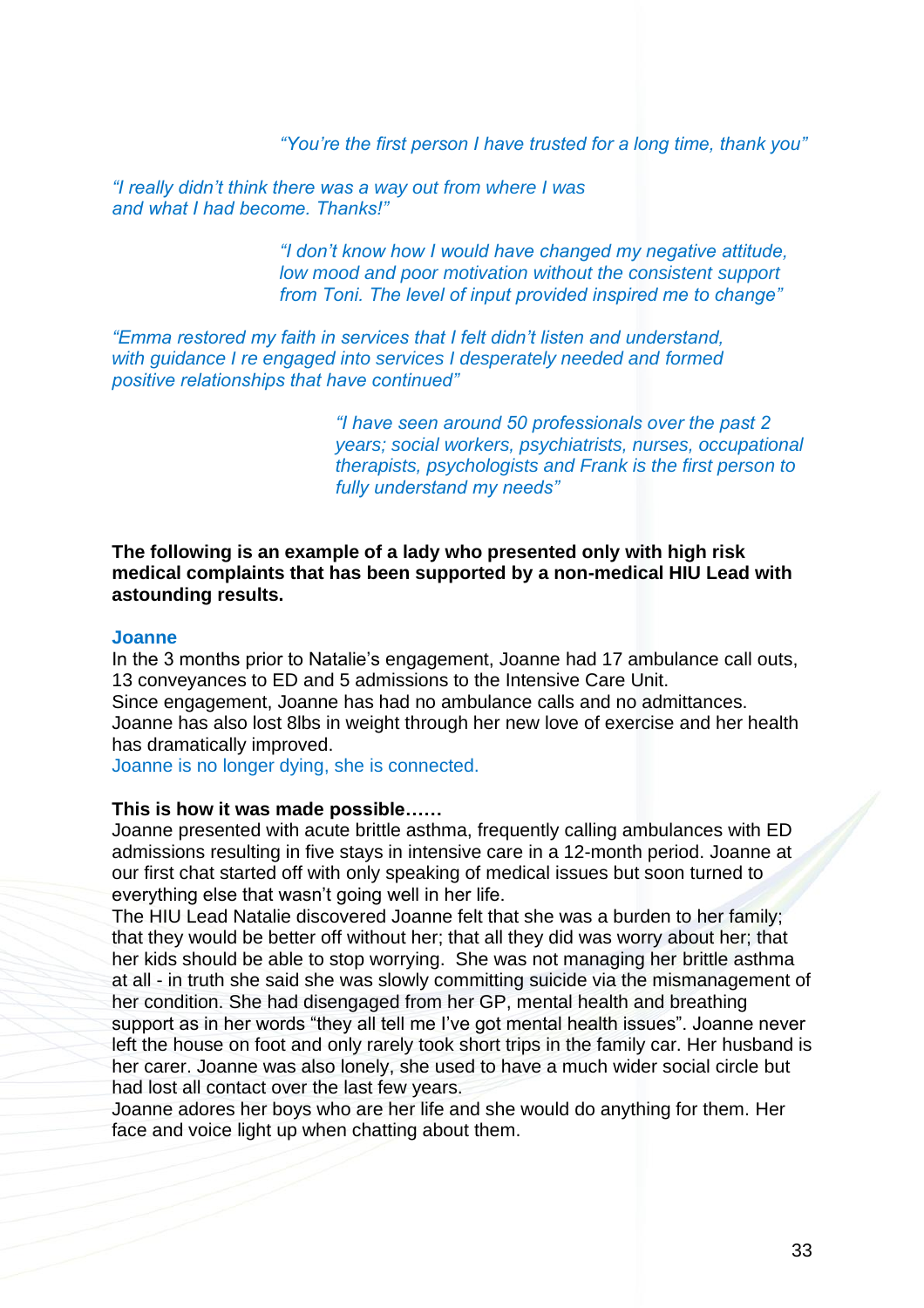*"You're the first person I have trusted for a long time, thank you"* 

*"I really didn't think there was a way out from where I was and what I had become. Thanks!"*

> *"I don't know how I would have changed my negative attitude, low mood and poor motivation without the consistent support from Toni. The level of input provided inspired me to change"*

*"Emma restored my faith in services that I felt didn't listen and understand, with guidance I re engaged into services I desperately needed and formed positive relationships that have continued"*

> *"I have seen around 50 professionals over the past 2 years; social workers, psychiatrists, nurses, occupational therapists, psychologists and Frank is the first person to fully understand my needs"*

## **The following is an example of a lady who presented only with high risk medical complaints that has been supported by a non-medical HIU Lead with astounding results.**

#### **Joanne**

In the 3 months prior to Natalie's engagement, Joanne had 17 ambulance call outs, 13 conveyances to ED and 5 admissions to the Intensive Care Unit. Since engagement, Joanne has had no ambulance calls and no admittances. Joanne has also lost 8lbs in weight through her new love of exercise and her health has dramatically improved.

Joanne is no longer dying, she is connected.

#### **This is how it was made possible……**

Joanne presented with acute brittle asthma, frequently calling ambulances with ED admissions resulting in five stays in intensive care in a 12-month period. Joanne at our first chat started off with only speaking of medical issues but soon turned to everything else that wasn't going well in her life.

The HIU Lead Natalie discovered Joanne felt that she was a burden to her family; that they would be better off without her; that all they did was worry about her; that her kids should be able to stop worrying. She was not managing her brittle asthma at all - in truth she said she was slowly committing suicide via the mismanagement of her condition. She had disengaged from her GP, mental health and breathing support as in her words "they all tell me I've got mental health issues". Joanne never left the house on foot and only rarely took short trips in the family car. Her husband is her carer. Joanne was also lonely, she used to have a much wider social circle but had lost all contact over the last few years.

Joanne adores her boys who are her life and she would do anything for them. Her face and voice light up when chatting about them.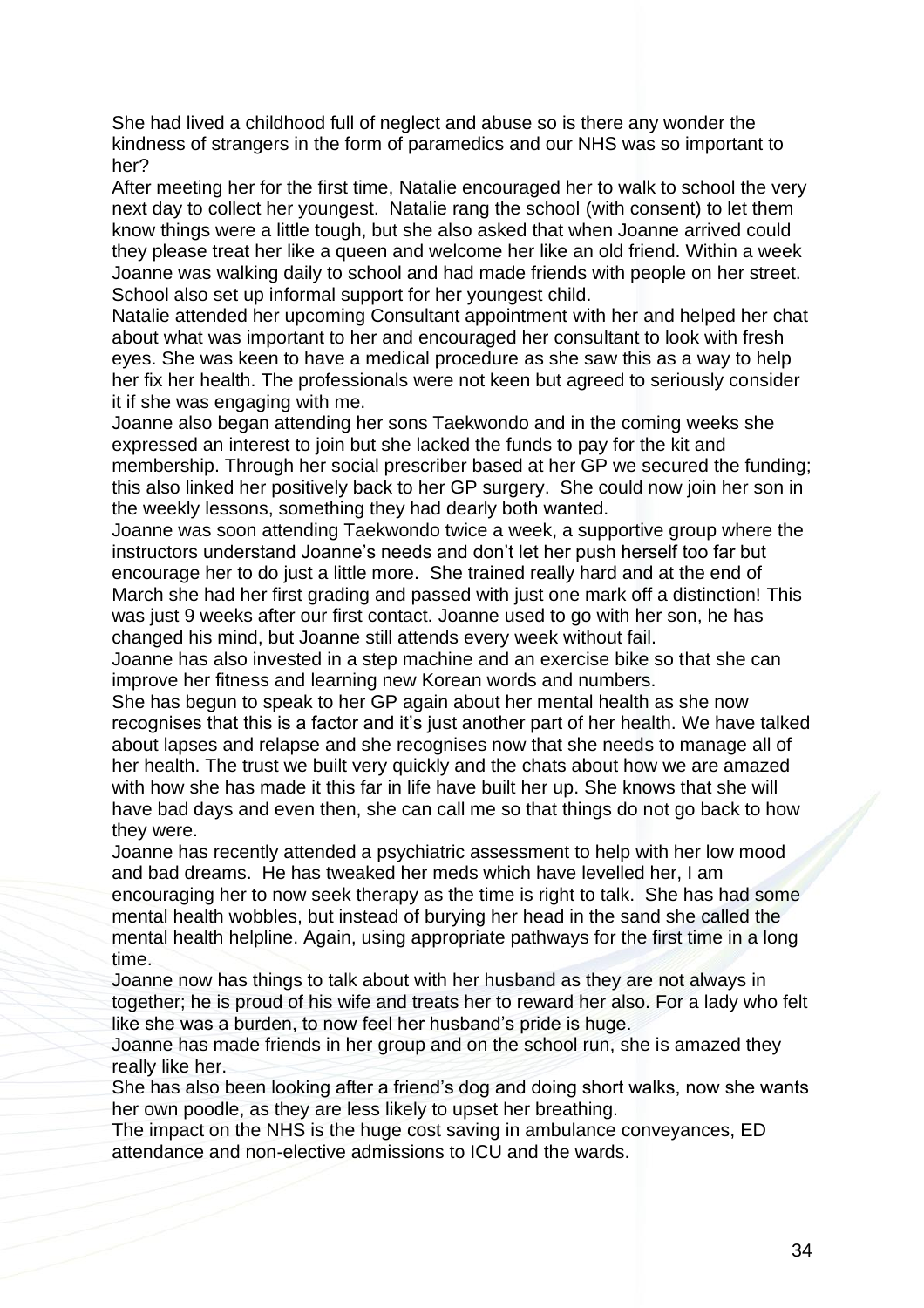She had lived a childhood full of neglect and abuse so is there any wonder the kindness of strangers in the form of paramedics and our NHS was so important to her?

After meeting her for the first time, Natalie encouraged her to walk to school the very next day to collect her youngest. Natalie rang the school (with consent) to let them know things were a little tough, but she also asked that when Joanne arrived could they please treat her like a queen and welcome her like an old friend. Within a week Joanne was walking daily to school and had made friends with people on her street. School also set up informal support for her youngest child.

Natalie attended her upcoming Consultant appointment with her and helped her chat about what was important to her and encouraged her consultant to look with fresh eyes. She was keen to have a medical procedure as she saw this as a way to help her fix her health. The professionals were not keen but agreed to seriously consider it if she was engaging with me.

Joanne also began attending her sons Taekwondo and in the coming weeks she expressed an interest to join but she lacked the funds to pay for the kit and membership. Through her social prescriber based at her GP we secured the funding; this also linked her positively back to her GP surgery. She could now join her son in the weekly lessons, something they had dearly both wanted.

Joanne was soon attending Taekwondo twice a week, a supportive group where the instructors understand Joanne's needs and don't let her push herself too far but encourage her to do just a little more. She trained really hard and at the end of March she had her first grading and passed with just one mark off a distinction! This was just 9 weeks after our first contact. Joanne used to go with her son, he has changed his mind, but Joanne still attends every week without fail.

Joanne has also invested in a step machine and an exercise bike so that she can improve her fitness and learning new Korean words and numbers.

She has begun to speak to her GP again about her mental health as she now recognises that this is a factor and it's just another part of her health. We have talked about lapses and relapse and she recognises now that she needs to manage all of her health. The trust we built very quickly and the chats about how we are amazed with how she has made it this far in life have built her up. She knows that she will have bad days and even then, she can call me so that things do not go back to how they were.

Joanne has recently attended a psychiatric assessment to help with her low mood and bad dreams. He has tweaked her meds which have levelled her, I am encouraging her to now seek therapy as the time is right to talk. She has had some mental health wobbles, but instead of burying her head in the sand she called the mental health helpline. Again, using appropriate pathways for the first time in a long time.

Joanne now has things to talk about with her husband as they are not always in together; he is proud of his wife and treats her to reward her also. For a lady who felt like she was a burden, to now feel her husband's pride is huge.

Joanne has made friends in her group and on the school run, she is amazed they really like her.

She has also been looking after a friend's dog and doing short walks, now she wants her own poodle, as they are less likely to upset her breathing.

The impact on the NHS is the huge cost saving in ambulance conveyances, ED attendance and non-elective admissions to ICU and the wards.